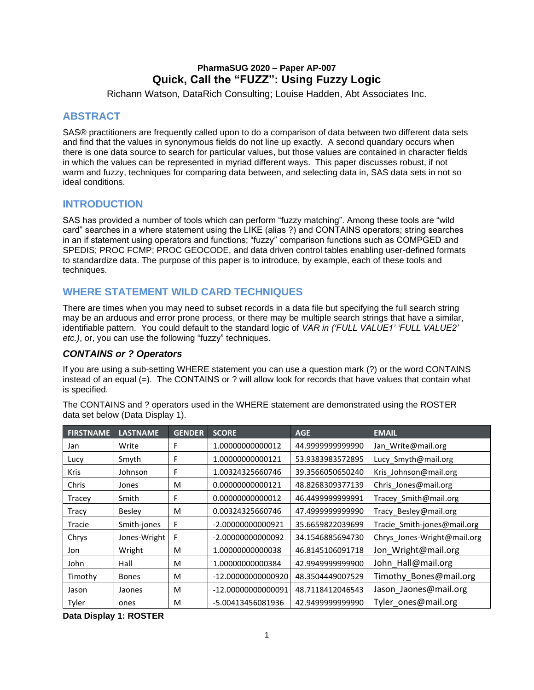# **PharmaSUG 2020 – Paper AP-007 Quick, Call the "FUZZ": Using Fuzzy Logic**

Richann Watson, DataRich Consulting; Louise Hadden, Abt Associates Inc.

# **ABSTRACT**

SAS® practitioners are frequently called upon to do a comparison of data between two different data sets and find that the values in synonymous fields do not line up exactly. A second quandary occurs when there is one data source to search for particular values, but those values are contained in character fields in which the values can be represented in myriad different ways. This paper discusses robust, if not warm and fuzzy, techniques for comparing data between, and selecting data in, SAS data sets in not so ideal conditions.

# **INTRODUCTION**

SAS has provided a number of tools which can perform "fuzzy matching". Among these tools are "wild card" searches in a where statement using the LIKE (alias ?) and CONTAINS operators; string searches in an if statement using operators and functions; "fuzzy" comparison functions such as COMPGED and SPEDIS; PROC FCMP; PROC GEOCODE, and data driven control tables enabling user-defined formats to standardize data. The purpose of this paper is to introduce, by example, each of these tools and techniques.

# **WHERE STATEMENT WILD CARD TECHNIQUES**

There are times when you may need to subset records in a data file but specifying the full search string may be an arduous and error prone process, or there may be multiple search strings that have a similar, identifiable pattern. You could default to the standard logic of *VAR in ('FULL VALUE1' 'FULL VALUE2' etc.)*, or, you can use the following "fuzzy" techniques.

## *CONTAINS or ? Operators*

If you are using a sub-setting WHERE statement you can use a question mark (?) or the word CONTAINS instead of an equal (=). The CONTAINS or ? will allow look for records that have values that contain what is specified.

The CONTAINS and ? operators used in the WHERE statement are demonstrated using the ROSTER data set below [\(Data Display 1\)](#page-0-0).

| <b>FIRSTNAME</b> | <b>LASTNAME</b> | <b>GENDER</b> | <b>SCORE</b>                         | <b>AGE</b>       | <b>EMAIL</b>                |
|------------------|-----------------|---------------|--------------------------------------|------------------|-----------------------------|
| Jan              | Write           | F             | 1.00000000000012                     | 44.999999999990  | Jan Write@mail.org          |
| Lucy             | Smyth           | F             | 1.00000000000121                     | 53.9383983572895 | Lucy Smyth@mail.org         |
| <b>Kris</b>      | Johnson         | F             | 1.00324325660746                     | 39.3566050650240 | Kris Johnson@mail.org       |
| Chris            | Jones           | м             | 0.00000000000121                     | 48.8268309377139 | Chris Jones@mail.org        |
| Tracey           | Smith           | F             | 0.00000000000012                     | 46.4499999999991 | Tracey Smith@mail.org       |
| <b>Tracy</b>     | <b>Besley</b>   | м             | 0.00324325660746                     | 47.499999999990  | Tracy Besley@mail.org       |
| Tracie           | Smith-jones     | F             | -2.00000000000921                    | 35.6659822039699 | Tracie Smith-jones@mail.org |
| Chrys            | Jones-Wright    | F             | -2.00000000000092                    | 34.1546885694730 | Chrys Jones-Wright@mail.org |
| Jon              | Wright          | м             | 1.00000000000038                     | 46.8145106091718 | Jon Wright@mail.org         |
| John             | Hall            | м             | 1.00000000000384                     | 42.9949999999900 | John Hall@mail.org          |
| Timothy          | <b>Bones</b>    | м             | -12.00000000000920                   | 48.3504449007529 | Timothy Bones@mail.org      |
| Jason            | Jaones          | M             | -12.00000000000091                   | 48.7118412046543 | Jason_Jaones@mail.org       |
| Tyler            | ones            | М             | 42.949999999990<br>-5.00413456081936 |                  | Tyler ones@mail.org         |

<span id="page-0-0"></span>**Data Display 1: ROSTER**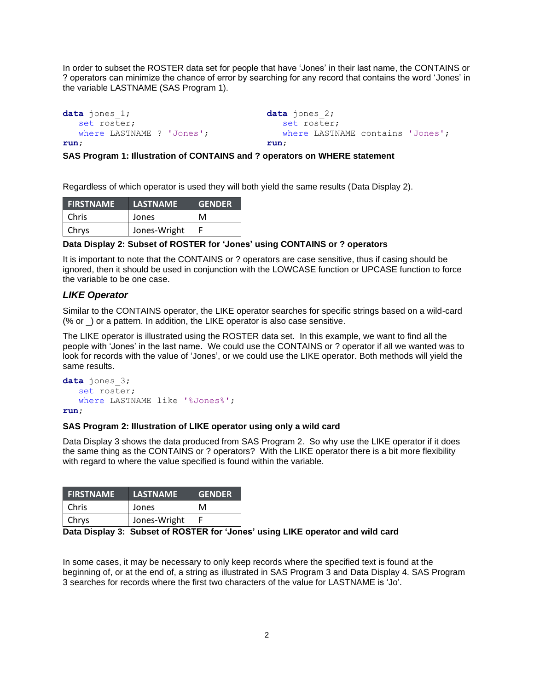In order to subset the ROSTER data set for people that have 'Jones' in their last name, the CONTAINS or ? operators can minimize the chance of error by searching for any record that contains the word 'Jones' in the variable LASTNAME [\(SAS Program 1\)](#page-1-0).

```
data jones_1;
    set roster;
    where LASTNAME ? 'Jones';
run;
```

```
data jones_2;
  set roster;
    where LASTNAME contains 'Jones';
run;
```
<span id="page-1-0"></span>**SAS Program 1: Illustration of CONTAINS and ? operators on WHERE statement**

Regardless of which operator is used they will both yield the same results [\(Data Display 2\)](#page-1-1).

| <b>FIRSTNAME</b> | <b>LASTNAME</b> | <b>GENDER</b> |
|------------------|-----------------|---------------|
| Chris            | Jones           | м             |
| <b>Chrys</b>     | Jones-Wright    |               |

#### <span id="page-1-1"></span>**Data Display 2: Subset of ROSTER for 'Jones' using CONTAINS or ? operators**

It is important to note that the CONTAINS or ? operators are case sensitive, thus if casing should be ignored, then it should be used in conjunction with the LOWCASE function or UPCASE function to force the variable to be one case.

#### *LIKE Operator*

Similar to the CONTAINS operator, the LIKE operator searches for specific strings based on a wild-card (% or \_) or a pattern. In addition, the LIKE operator is also case sensitive.

The LIKE operator is illustrated using the ROSTER data set. In this example, we want to find all the people with 'Jones' in the last name. We could use the CONTAINS or ? operator if all we wanted was to look for records with the value of 'Jones', or we could use the LIKE operator. Both methods will yield the same results.

```
data jones_3;
    set roster;
    where LASTNAME like '%Jones%';
run;
```
#### <span id="page-1-3"></span>**SAS Program 2: Illustration of LIKE operator using only a wild card**

[Data Display 3](#page-1-2) shows the data produced from [SAS Program 2.](#page-1-3) So why use the LIKE operator if it does the same thing as the CONTAINS or ? operators? With the LIKE operator there is a bit more flexibility with regard to where the value specified is found within the variable.

| <b>FIRSTNAME</b> | <b>LASTNAME</b> | <b>GENDER</b> |
|------------------|-----------------|---------------|
| Chris            | Jones           | м             |
| Chrys            | Jones-Wright    |               |

#### <span id="page-1-2"></span>**Data Display 3: Subset of ROSTER for 'Jones' using LIKE operator and wild card**

In some cases, it may be necessary to only keep records where the specified text is found at the beginning of, or at the end of, a string as illustrated in [SAS Program 3](#page-2-0) and [Data Display 4.](#page-2-1) [SAS Program](#page-2-0)  [3](#page-2-0) searches for records where the first two characters of the value for LASTNAME is 'Jo'.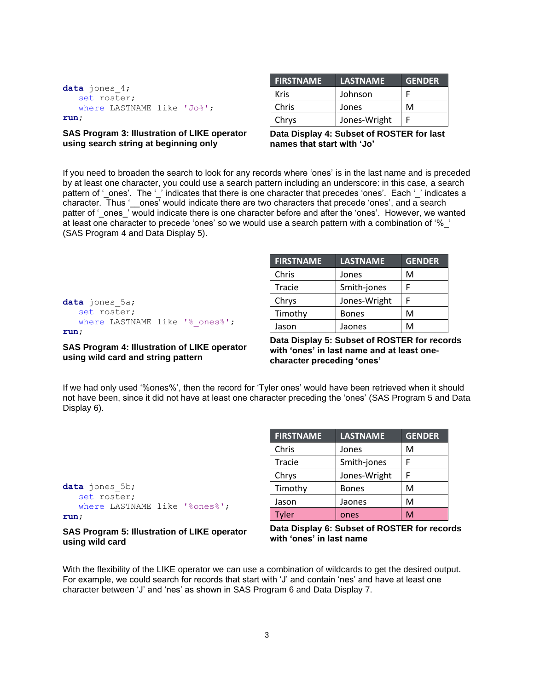| data jones $4$ ; |                            |  |
|------------------|----------------------------|--|
| set roster;      |                            |  |
|                  | where LASTNAME like 'Jo%'; |  |
| run;             |                            |  |

#### <span id="page-2-0"></span>**SAS Program 3: Illustration of LIKE operator using search string at beginning only**

| <b>FIRSTNAME</b> | LASTNAME     | <b>GENDER</b> |
|------------------|--------------|---------------|
| Kris             | Johnson      |               |
| Chris            | Jones        | м             |
| Chrys            | Jones-Wright |               |

<span id="page-2-1"></span>**Data Display 4: Subset of ROSTER for last names that start with 'Jo'**

If you need to broaden the search to look for any records where 'ones' is in the last name and is preceded by at least one character, you could use a search pattern including an underscore: in this case, a search pattern of '\_ones'. The '\_' indicates that there is one character that precedes 'ones'. Each '\_' indicates a character. Thus '\_\_ones' would indicate there are two characters that precede 'ones', and a search patter of 'ones 'would indicate there is one character before and after the 'ones'. However, we wanted at least one character to precede 'ones' so we would use a search pattern with a combination of '%\_' [\(SAS Program 4](#page-2-2) and [Data Display 5\)](#page-2-3).

| data jones 5a; |  |                                |
|----------------|--|--------------------------------|
| set roster;    |  |                                |
|                |  | where LASTNAME like '% ones%'; |
| run:           |  |                                |

### <span id="page-2-2"></span>**SAS Program 4: Illustration of LIKE operator using wild card and string pattern**

| <b>FIRSTNAME</b> | <b>LASTNAME</b> | <b>GENDER</b> |
|------------------|-----------------|---------------|
| Chris            | Jones           | м             |
| Tracie           | Smith-jones     |               |
| Chrys            | Jones-Wright    |               |
| Timothy          | <b>Bones</b>    | м             |
| Jason            | Jaones          | м             |

<span id="page-2-3"></span>**Data Display 5: Subset of ROSTER for records with 'ones' in last name and at least onecharacter preceding 'ones'**

If we had only used '%ones%', then the record for 'Tyler ones' would have been retrieved when it should not have been, since it did not have at least one character preceding the 'ones' [\(SAS Program 5](#page-2-4) and [Data](#page-2-5)  [Display 6\)](#page-2-5).

| data jones 5b; |             |                               |
|----------------|-------------|-------------------------------|
|                | set roster; |                               |
|                |             | where LASTNAME like '%ones%'; |
| run;           |             |                               |

#### <span id="page-2-4"></span>**SAS Program 5: Illustration of LIKE operator using wild card**

| <b>FIRSTNAME</b> | <b>LASTNAME</b> | <b>GENDER</b> |
|------------------|-----------------|---------------|
| Chris            | Jones           | м             |
| Tracie           | Smith-jones     | F             |
| Chrys            | Jones-Wright    | F             |
| Timothy          | <b>Bones</b>    | M             |
| Jason            | Jaones          | M             |
| Tyler            | ones            | M             |

<span id="page-2-5"></span>

| Data Display 6: Subset of ROSTER for records |
|----------------------------------------------|
| with 'ones' in last name                     |

With the flexibility of the LIKE operator we can use a combination of wildcards to get the desired output. For example, we could search for records that start with 'J' and contain 'nes' and have at least one character between 'J' and 'nes' as shown in [SAS Program 6](#page-3-0) and [Data Display 7.](#page-3-1)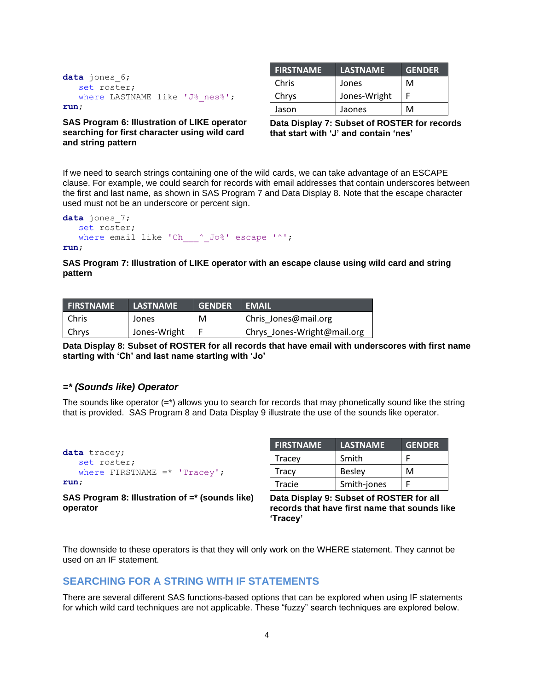```
data jones_6;
    set roster;
   where LASTNAME like 'J% nes%';
run;
```
<span id="page-3-0"></span>**SAS Program 6: Illustration of LIKE operator searching for first character using wild card and string pattern**

| <b>FIRSTNAME</b> | <b>LASTNAME</b> | <b>GENDER</b> |
|------------------|-----------------|---------------|
| Chris            | Jones           | м             |
| Chrys            | Jones-Wright    |               |
| Jason            | Jaones          | м             |

<span id="page-3-1"></span>**Data Display 7: Subset of ROSTER for records that start with 'J' and contain 'nes'**

If we need to search strings containing one of the wild cards, we can take advantage of an ESCAPE clause. For example, we could search for records with email addresses that contain underscores between the first and last name, as shown in [SAS Program 7](#page-3-2) and [Data Display 8.](#page-3-3) Note that the escape character used must not be an underscore or percent sign.

```
data jones_7;
    set roster;
   where email like 'Ch\sim Jo%' escape '^';
```
**run**;

<span id="page-3-2"></span>**SAS Program 7: Illustration of LIKE operator with an escape clause using wild card and string pattern**

| <b>FIRSTNAME</b> | <b>LASTNAME</b> | <b>GENDER</b> | <b>EMAIL</b>                |
|------------------|-----------------|---------------|-----------------------------|
| Chris            | Jones           | м             | Chris Jones@mail.org        |
| Chrys            | Jones-Wright    |               | Chrys Jones-Wright@mail.org |

<span id="page-3-3"></span>**Data Display 8: Subset of ROSTER for all records that have email with underscores with first name starting with 'Ch' and last name starting with 'Jo'**

### *=\* (Sounds like) Operator*

The sounds like operator  $(=^*)$  allows you to search for records that may phonetically sound like the string that is provided. [SAS Program 8](#page-3-4) and [Data Display 9](#page-3-5) illustrate the use of the sounds like operator.

```
data tracey;
   set roster;
   where FIRSTNAME = * 'Tracey';
run;
```
<span id="page-3-4"></span>**SAS Program 8: Illustration of =\* (sounds like) operator**

| <b>FIRSTNAME</b> | <b>LASTNAME</b> | <b>GENDER</b> |
|------------------|-----------------|---------------|
| Tracey           | Smith           |               |
| Tracy            | <b>Besley</b>   | м             |
| Tracie           | Smith-jones     |               |

<span id="page-3-5"></span>**Data Display 9: Subset of ROSTER for all records that have first name that sounds like 'Tracey'**

The downside to these operators is that they will only work on the WHERE statement. They cannot be used on an IF statement.

## **SEARCHING FOR A STRING WITH IF STATEMENTS**

There are several different SAS functions-based options that can be explored when using IF statements for which wild card techniques are not applicable. These "fuzzy" search techniques are explored below.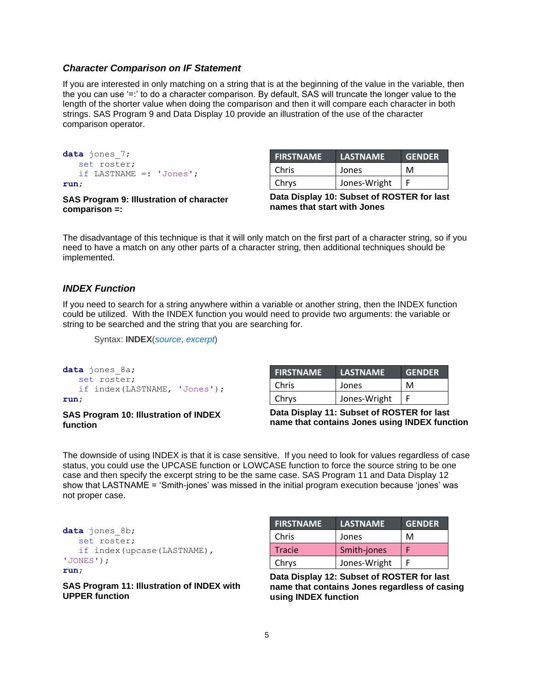#### *Character Comparison on IF Statement*

If you are interested in only matching on a string that is at the beginning of the value in the variable, then the you can use '=:' to do a character comparison. By default, SAS will truncate the longer value to the length of the shorter value when doing the comparison and then it will compare each character in both strings. [SAS Program 9](#page-4-0) and [Data Display 10](#page-4-1) provide an illustration of the use of the character comparison operator.

```
data jones_7;
   set roster;
    if LASTNAME =: 'Jones';
run;
```
**FIRSTNAME LASTNAME GENDER** Chris I Jones I M Chrys | Jones-Wright | F

<span id="page-4-0"></span>**SAS Program 9: Illustration of character comparison =:**

<span id="page-4-1"></span>**Data Display 10: Subset of ROSTER for last names that start with Jones**

The disadvantage of this technique is that it will only match on the first part of a character string, so if you need to have a match on any other parts of a character string, then additional techniques should be implemented.

### *INDEX Function*

If you need to search for a string anywhere within a variable or another string, then the INDEX function could be utilized. With the INDEX function you would need to provide two arguments: the variable or string to be searched and the string that you are searching for.

```
Syntax: INDEX(source, excerpt)
```

```
data jones_8a;
    set roster;
    if index(LASTNAME, 'Jones');
run;
```
#### **SAS Program 10: Illustration of INDEX function**

| <b>FIRSTNAME</b> | <b>LASTNAME</b> | <b>GENDER</b> |
|------------------|-----------------|---------------|
| Chris            | Jones           | м             |
| Chrys            | Jones-Wright    |               |

**Data Display 11: Subset of ROSTER for last name that contains Jones using INDEX function**

The downside of using INDEX is that it is case sensitive. If you need to look for values regardless of case status, you could use the UPCASE function or LOWCASE function to force the source string to be one case and then specify the excerpt string to be the same case. [SAS Program 11](#page-4-2) and [Data Display 12](#page-4-3) show that LASTNAME = 'Smith-jones' was missed in the initial program execution because 'jones' was not proper case.

```
data jones_8b;
    set roster;
    if index(upcase(LASTNAME), 
'JONES');
run;
```
<span id="page-4-2"></span>**SAS Program 11: Illustration of INDEX with UPPER function**

| <b>FIRSTNAME</b> | <b>LASTNAME</b> | <b>GENDER</b> |
|------------------|-----------------|---------------|
| Chris            | Jones           | м             |
| <b>Tracie</b>    | Smith-jones     |               |
| Chrys            | Jones-Wright    |               |

<span id="page-4-3"></span>**Data Display 12: Subset of ROSTER for last name that contains Jones regardless of casing using INDEX function**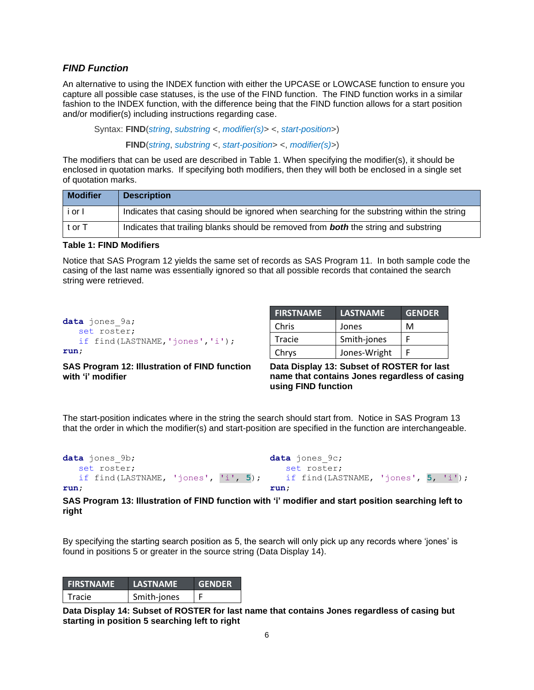### *FIND Function*

An alternative to using the INDEX function with either the UPCASE or LOWCASE function to ensure you capture all possible case statuses, is the use of the FIND function. The FIND function works in a similar fashion to the INDEX function, with the difference being that the FIND function allows for a start position and/or modifier(s) including instructions regarding case.

Syntax: **FIND**(*string*, *substring* <, *modifier(s)*> <, *start-position*>) **FIND**(*string*, *substring* <, *start-position*> <, *modifier(s)*>)

The modifiers that can be used are described in [Table 1.](#page-5-0) When specifying the modifier(s), it should be enclosed in quotation marks. If specifying both modifiers, then they will both be enclosed in a single set of quotation marks.

| <b>Modifier</b> | <b>Description</b>                                                                         |
|-----------------|--------------------------------------------------------------------------------------------|
| i or I          | Indicates that casing should be ignored when searching for the substring within the string |
| t or T          | Indicates that trailing blanks should be removed from <b>both</b> the string and substring |

### <span id="page-5-0"></span>**Table 1: FIND Modifiers**

Notice that [SAS Program 12](#page-5-1) yields the same set of records as [SAS Program 11.](#page-4-2) In both sample code the casing of the last name was essentially ignored so that all possible records that contained the search string were retrieved.

| <b>data</b> jones 9a;              |
|------------------------------------|
| set roster;                        |
| if $find(LASTNAME, 'iones', 'i');$ |
| run;                               |

### <span id="page-5-1"></span>**SAS Program 12: Illustration of FIND function with 'i' modifier**

| <b>FIRSTNAME</b> | <b>LASTNAME</b> | <b>GENDER</b> |
|------------------|-----------------|---------------|
| Chris            | Jones           | м             |
| Tracie           | Smith-jones     |               |
| Chrys            | Jones-Wright    |               |

<span id="page-5-4"></span>**Data Display 13: Subset of ROSTER for last name that contains Jones regardless of casing using FIND function**

The start-position indicates where in the string the search should start from. Notice in [SAS Program 13](#page-5-2) that the order in which the modifier(s) and start-position are specified in the function are interchangeable.

```
data jones_9b;
    set roster;
    if find(LASTNAME, 'jones', 'i', 5);
run;
                                         data jones_9c;
                                             set roster;
                                              if find(LASTNAME, 'jones', 5, 'i');
                                         run;
```
<span id="page-5-2"></span>**SAS Program 13: Illustration of FIND function with 'i' modifier and start position searching left to right**

By specifying the starting search position as 5, the search will only pick up any records where 'jones' is found in positions 5 or greater in the source string [\(Data Display 14\)](#page-5-3).

| <b>FIRSTNAME</b> | <b>LASTNAME</b> | <b>GENDER</b> |
|------------------|-----------------|---------------|
| Tracie           | Smith-jones     |               |

<span id="page-5-3"></span>**Data Display 14: Subset of ROSTER for last name that contains Jones regardless of casing but starting in position 5 searching left to right**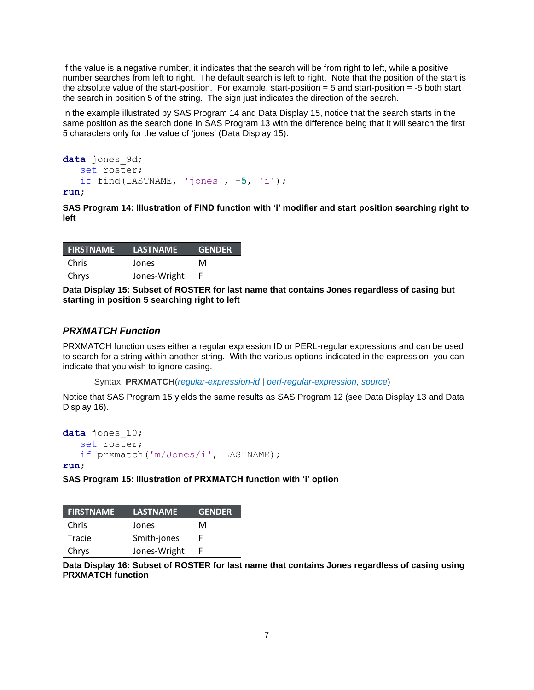If the value is a negative number, it indicates that the search will be from right to left, while a positive number searches from left to right. The default search is left to right. Note that the position of the start is the absolute value of the start-position. For example, start-position = 5 and start-position = -5 both start the search in position 5 of the string. The sign just indicates the direction of the search.

In the example illustrated by [SAS Program 14](#page-6-0) and [Data Display 15,](#page-6-1) notice that the search starts in the same position as the search done in [SAS Program 13](#page-5-2) with the difference being that it will search the first 5 characters only for the value of 'jones' [\(Data Display 15\)](#page-6-1).

```
data jones_9d;
   set roster;
    if find(LASTNAME, 'jones', -5, 'i');
```
**run**;

<span id="page-6-0"></span>**SAS Program 14: Illustration of FIND function with 'i' modifier and start position searching right to left**

| <b>FIRSTNAME</b> | <b>LASTNAME</b> | <b>GENDER</b> |
|------------------|-----------------|---------------|
| Chris            | Jones           | м             |
| Chrys            | Jones-Wright    |               |

<span id="page-6-1"></span>**Data Display 15: Subset of ROSTER for last name that contains Jones regardless of casing but starting in position 5 searching right to left**

## *PRXMATCH Function*

PRXMATCH function uses either a regular expression ID or PERL-regular expressions and can be used to search for a string within another string. With the various options indicated in the expression, you can indicate that you wish to ignore casing.

Syntax: **PRXMATCH**(*regular-expression-id* | *perl-regular-expression*, *source*)

Notice that [SAS Program 15](#page-6-2) yields the same results as [SAS Program 12](#page-5-1) (see [Data Display 13](#page-5-4) and [Data](#page-6-3)  [Display 16\)](#page-6-3).

```
data jones_10;
    set roster;
    if prxmatch('m/Jones/i', LASTNAME);
```
**run**;

<span id="page-6-2"></span>**SAS Program 15: Illustration of PRXMATCH function with 'i' option**

| <b>FIRSTNAME</b> | <b>LASTNAME</b> | <b>GENDER</b> |
|------------------|-----------------|---------------|
| <b>Chris</b>     | Jones           | м             |
| Tracie           | Smith-jones     |               |
| Chrys            | Jones-Wright    |               |

<span id="page-6-3"></span>**Data Display 16: Subset of ROSTER for last name that contains Jones regardless of casing using PRXMATCH function**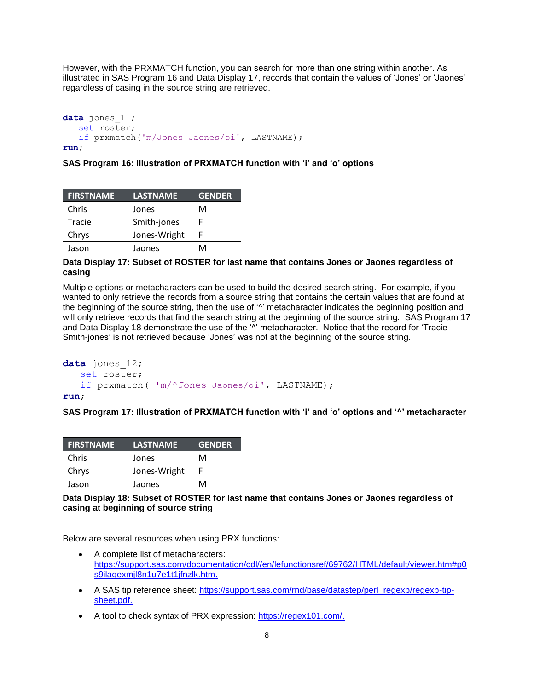However, with the PRXMATCH function, you can search for more than one string within another. As illustrated in [SAS Program 16](#page-7-0) and [Data Display 17,](#page-7-1) records that contain the values of 'Jones' or 'Jaones' regardless of casing in the source string are retrieved.

```
data jones_11;
    set roster;
    if prxmatch('m/Jones|Jaones/oi', LASTNAME);
run;
```
#### <span id="page-7-0"></span>**SAS Program 16: Illustration of PRXMATCH function with 'i' and 'o' options**

| <b>FIRSTNAME</b> | <b>LASTNAME</b> | <b>GENDER</b> |
|------------------|-----------------|---------------|
| Chris            | Jones           | м             |
| Tracie           | Smith-jones     | F             |
| Chrys            | Jones-Wright    |               |
| Jason            | Jaones          | м             |

#### <span id="page-7-1"></span>**Data Display 17: Subset of ROSTER for last name that contains Jones or Jaones regardless of casing**

Multiple options or metacharacters can be used to build the desired search string. For example, if you wanted to only retrieve the records from a source string that contains the certain values that are found at the beginning of the source string, then the use of '<sup>^</sup>' metacharacter indicates the beginning position and will only retrieve records that find the search string at the beginning of the source string. [SAS Program 17](#page-7-2) and [Data Display 18](#page-7-3) demonstrate the use of the '<sup>N</sup>' metacharacter. Notice that the record for 'Tracie Smith-jones' is not retrieved because 'Jones' was not at the beginning of the source string.

```
data jones_12;
    set roster;
    if prxmatch( 'm/^Jones|Jaones/oi', LASTNAME);
run;
```
<span id="page-7-2"></span>**SAS Program 17: Illustration of PRXMATCH function with 'i' and 'o' options and '^' metacharacter**

| <b>FIRSTNAME</b> | <b>LASTNAME</b> | <b>GENDER</b> |
|------------------|-----------------|---------------|
| Chris            | Jones           | м             |
| Chrys            | Jones-Wright    |               |
| Jason            | Jaones          | м             |

<span id="page-7-3"></span>**Data Display 18: Subset of ROSTER for last name that contains Jones or Jaones regardless of casing at beginning of source string**

Below are several resources when using PRX functions:

- A complete list of metacharacters: [https://support.sas.com/documentation/cdl//en/lefunctionsref/69762/HTML/default/viewer.htm#p0](https://support.sas.com/documentation/cdl/en/lefunctionsref/69762/HTML/default/viewer.htm#p0s9ilagexmjl8n1u7e1t1jfnzlk.htm) [s9ilagexmjl8n1u7e1t1jfnzlk.htm.](https://support.sas.com/documentation/cdl/en/lefunctionsref/69762/HTML/default/viewer.htm#p0s9ilagexmjl8n1u7e1t1jfnzlk.htm)
- A SAS tip reference sheet: [https://support.sas.com/rnd/base/datastep/perl\\_regexp/regexp-tip](https://support.sas.com/rnd/base/datastep/perl_regexp/regexp-tip-sheet.pdf)[sheet.pdf.](https://support.sas.com/rnd/base/datastep/perl_regexp/regexp-tip-sheet.pdf)
- A tool to check syntax of PRX expression: [https://regex101.com/.](https://regex101.com/)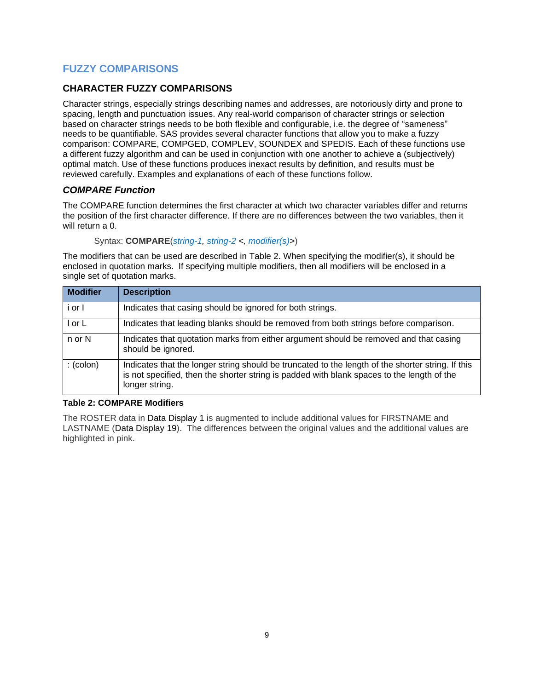# **FUZZY COMPARISONS**

## **CHARACTER FUZZY COMPARISONS**

Character strings, especially strings describing names and addresses, are notoriously dirty and prone to spacing, length and punctuation issues. Any real-world comparison of character strings or selection based on character strings needs to be both flexible and configurable, i.e. the degree of "sameness" needs to be quantifiable. SAS provides several character functions that allow you to make a fuzzy comparison: COMPARE, COMPGED, COMPLEV, SOUNDEX and SPEDIS. Each of these functions use a different fuzzy algorithm and can be used in conjunction with one another to achieve a (subjectively) optimal match. Use of these functions produces inexact results by definition, and results must be reviewed carefully. Examples and explanations of each of these functions follow.

## *COMPARE Function*

The COMPARE function determines the first character at which two character variables differ and returns the position of the first character difference. If there are no differences between the two variables, then it will return a 0.

Syntax: **COMPARE**(*string-1, string-2 <, modifier(s)>*)

The modifiers that can be used are described in [Table 2.](#page-8-0) When specifying the modifier(s), it should be enclosed in quotation marks. If specifying multiple modifiers, then all modifiers will be enclosed in a single set of quotation marks.

| <b>Modifier</b>   | <b>Description</b>                                                                                                                                                                                                |
|-------------------|-------------------------------------------------------------------------------------------------------------------------------------------------------------------------------------------------------------------|
| i or I            | Indicates that casing should be ignored for both strings.                                                                                                                                                         |
| l or L            | Indicates that leading blanks should be removed from both strings before comparison.                                                                                                                              |
| n or N            | Indicates that quotation marks from either argument should be removed and that casing<br>should be ignored.                                                                                                       |
| $:(\text{colon})$ | Indicates that the longer string should be truncated to the length of the shorter string. If this<br>is not specified, then the shorter string is padded with blank spaces to the length of the<br>longer string. |

### <span id="page-8-0"></span>**Table 2: COMPARE Modifiers**

The ROSTER data in [Data Display 1](#page-0-0) is augmented to include additional values for FIRSTNAME and LASTNAME [\(Data Display 19\)](#page-9-0). The differences between the original values and the additional values are highlighted in pink.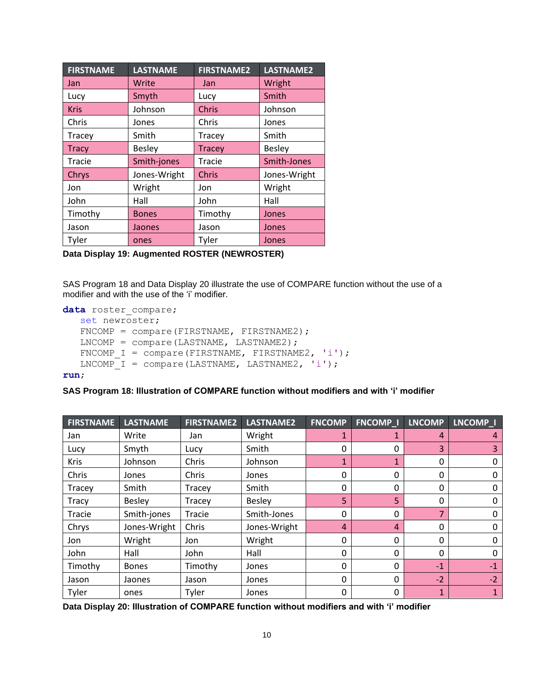| <b>FIRSTNAME</b> | <b>LASTNAME</b> | <b>FIRSTNAME2</b> | LASTNAME2     |
|------------------|-----------------|-------------------|---------------|
| <b>Jan</b>       | Write           | Jan               | Wright        |
| Lucy             | Smyth           | Lucy              | Smith         |
| <b>Kris</b>      | Johnson         | <b>Chris</b>      | Johnson       |
| Chris            | Jones           | Chris             | Jones         |
| Tracey           | Smith           | Tracey            | Smith         |
| <b>Tracy</b>     | <b>Besley</b>   | <b>Tracey</b>     | <b>Besley</b> |
| Tracie           | Smith-jones     | Tracie            | Smith-Jones   |
| Chrys            | Jones-Wright    | <b>Chris</b>      | Jones-Wright  |
| Jon              | Wright          | Jon               | Wright        |
| John             | Hall            | John              | Hall          |
| Timothy          | <b>Bones</b>    | Timothy           | Jones         |
| Jason            | Jaones          | Jason             | Jones         |
| Tyler            | ones            | Tyler             | Jones         |

<span id="page-9-0"></span>**Data Display 19: Augmented ROSTER (NEWROSTER)**

[SAS Program 18](#page-9-1) and [Data Display 20](#page-9-2) illustrate the use of COMPARE function without the use of a modifier and with the use of the 'i' modifier.

```
data roster compare;
```

```
 set newroster;
FNCOMP = compare(FIRSTNAME, FIRSTNAME2);
LNCOMP = compare(LASTNAME, LASTNAME);FNCOMP I = compare(FIRSTNAME, FIRSTNAME2, 'i');
LNCOMP I = compare(LASTNAME, LASTNAME2, 'i');
```
#### **run**;

#### <span id="page-9-1"></span>**SAS Program 18: Illustration of COMPARE function without modifiers and with 'i' modifier**

| <b>FIRSTNAME</b> | <b>LASTNAME</b> | <b>FIRSTNAME2</b> | <b>LASTNAME2</b> | <b>FNCOMP</b>  | <b>FNCOMP<sub>I</sub></b> | <b>LNCOMP</b>  | LNCOMP <sub>_I</sub> |
|------------------|-----------------|-------------------|------------------|----------------|---------------------------|----------------|----------------------|
| Jan              | Write           | Jan               | Wright           | 1              |                           | 4              | 4                    |
| Lucy             | Smyth           | Lucy              | Smith            | $\mathbf{0}$   | 0                         | 3              | 3                    |
| <b>Kris</b>      | Johnson         | Chris             | Johnson          | $\mathbf{1}$   |                           | 0              | 0                    |
| Chris            | Jones           | Chris             | Jones            | 0              | 0                         | $\mathbf{0}$   | 0                    |
| Tracey           | Smith           | Tracey            | Smith            | $\mathbf{0}$   | 0                         | $\mathbf{0}$   | 0                    |
| Tracy            | Besley          | Tracey            | <b>Besley</b>    | 5 <sup>1</sup> | 5                         | 0              | 0                    |
| Tracie           | Smith-jones     | Tracie            | Smith-Jones      | $\mathbf{0}$   | 0                         | $\overline{7}$ | 0                    |
| Chrys            | Jones-Wright    | Chris             | Jones-Wright     | $\overline{4}$ | 4                         | $\mathbf{0}$   | 0                    |
| Jon              | Wright          | Jon               | Wright           | 0              | 0                         | 0              | 0                    |
| John             | Hall            | John              | Hall             | $\mathbf{0}$   | 0                         | $\mathbf{0}$   | 0                    |
| Timothy          | <b>Bones</b>    | Timothy           | Jones            | $\mathbf{0}$   | 0                         | $-1$           | $-1$                 |
| Jason            | Jaones          | Jason             | Jones            | $\mathbf{0}$   | 0                         | $-2$           | $-2$                 |
| Tyler            | ones            | Tyler             | Jones            | 0              | 0                         | $\mathbf{1}$   |                      |

<span id="page-9-2"></span>**Data Display 20: Illustration of COMPARE function without modifiers and with 'i' modifier**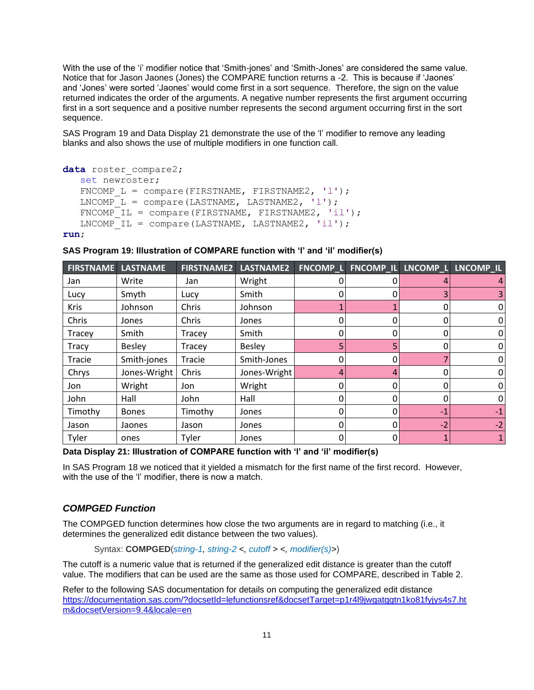With the use of the 'i' modifier notice that 'Smith-jones' and 'Smith-Jones' are considered the same value. Notice that for Jason Jaones (Jones) the COMPARE function returns a -2. This is because if 'Jaones' and 'Jones' were sorted 'Jaones' would come first in a sort sequence. Therefore, the sign on the value returned indicates the order of the arguments. A negative number represents the first argument occurring first in a sort sequence and a positive number represents the second argument occurring first in the sort sequence.

[SAS Program 19](#page-10-0) and [Data Display 21](#page-10-1) demonstrate the use of the 'l' modifier to remove any leading blanks and also shows the use of multiple modifiers in one function call.

```
data roster compare2;
    set newroster;
   FNCOMP L = compare(FIRSTNAME, FIRSTNAME2, 'l');
   LNCOMP^{-}L = compare(LASTNAME, LASTNAME2, 'l');FNCOMP^TIL = compare(FIRSTNAME, FIRSTNAME2, 'il');LNCOMP IL = compare(LASTNAME, LASTNAME2, 'il');
```
**run**;

| <b>FIRSTNAME</b> | <b>LASTNAME</b> | <b>FIRSTNAME2</b> | LASTNAME2     | FNCOMP_L | FNCOMP_IL   | LNCOMP <sub>L</sub> | LNCOMP_IL |
|------------------|-----------------|-------------------|---------------|----------|-------------|---------------------|-----------|
| Jan              | Write           | Jan               | Wright        |          | 0           |                     | 4         |
| Lucy             | Smyth           | Lucy              | Smith         |          | 0           |                     | 3         |
| <b>Kris</b>      | Johnson         | Chris             | Johnson       |          |             |                     | 0         |
| Chris            | Jones           | Chris             | Jones         | 0        | 0           | 0                   | 0         |
| Tracey           | Smith           | Tracey            | Smith         | 0        | 0           |                     | 0         |
| Tracy            | <b>Besley</b>   | Tracey            | <b>Besley</b> | 5        | 5           |                     | 0         |
| Tracie           | Smith-jones     | Tracie            | Smith-Jones   | 0        | 0           |                     | 0         |
| Chrys            | Jones-Wright    | Chris             | Jones-Wright  | 4        | 4           | 0                   | 0         |
| Jon              | Wright          | Jon               | Wright        | 0        | 0           |                     | 0         |
| John             | Hall            | John              | Hall          | 0        | $\Omega$    | ი                   | 0         |
| Timothy          | <b>Bones</b>    | Timothy           | Jones         | 0        | 0           | $-1$                | $-1$      |
| Jason            | Jaones          | Jason             | Jones         | 0        | 0           | $-2$                | $-2$      |
| Tyler            | ones            | Tyler             | Jones         | 0        | $\mathbf 0$ |                     | 1         |

<span id="page-10-0"></span>**SAS Program 19: Illustration of COMPARE function with 'l' and 'il' modifier(s)**

<span id="page-10-1"></span>**Data Display 21: Illustration of COMPARE function with 'l' and 'il' modifier(s)**

In [SAS Program 18](#page-9-1) we noticed that it yielded a mismatch for the first name of the first record. However, with the use of the 'l' modifier, there is now a match.

## *COMPGED Function*

The COMPGED function determines how close the two arguments are in regard to matching (i.e., it determines the generalized edit distance between the two values).

Syntax: **COMPGED**(*string-1, string-2 <, cutoff > <, modifier(s)>*)

The cutoff is a numeric value that is returned if the generalized edit distance is greater than the cutoff value. The modifiers that can be used are the same as those used for COMPARE, described in [Table 2.](#page-8-0)

Refer to the following SAS documentation for details on computing the generalized edit distance [https://documentation.sas.com/?docsetId=lefunctionsref&docsetTarget=p1r4l9jwgatggtn1ko81fyjys4s7.ht](https://documentation.sas.com/?docsetId=lefunctionsref&docsetTarget=p1r4l9jwgatggtn1ko81fyjys4s7.htm&docsetVersion=9.4&locale=en) [m&docsetVersion=9.4&locale=en](https://documentation.sas.com/?docsetId=lefunctionsref&docsetTarget=p1r4l9jwgatggtn1ko81fyjys4s7.htm&docsetVersion=9.4&locale=en)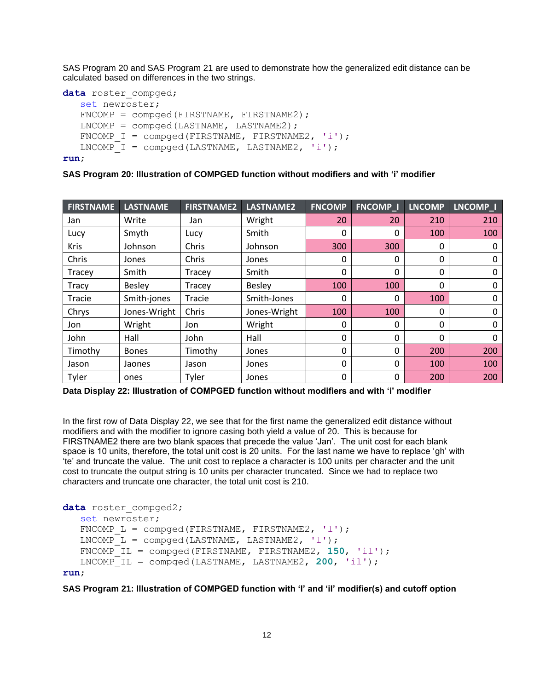[SAS Program 20](#page-11-0) and [SAS Program 21](#page-11-1) are used to demonstrate how the generalized edit distance can be calculated based on differences in the two strings.

```
data roster compged;
    set newroster;
   FNCOMP = compged(FIRSTNAME, FIRSTNAME2);
   LNCOMP = compared(LASTNAME, LASTNAME2);FNCOMP I = compged(FIRSTNAME, FIRSTNAME2, 'i');
   LNCOMP I = compged(LASTNAME, LASTNAME2, 'i');
```
**run**;

#### <span id="page-11-0"></span>**SAS Program 20: Illustration of COMPGED function without modifiers and with 'i' modifier**

| <b>FIRSTNAME</b> | <b>LASTNAME</b> | <b>FIRSTNAME2</b> | <b>LASTNAME2</b> | <b>FNCOMP</b> | <b>FNCOMP_I</b> | <b>LNCOMP</b> | LNCOMP_I |
|------------------|-----------------|-------------------|------------------|---------------|-----------------|---------------|----------|
| Jan              | Write           | Jan               | Wright           | 20            | 20              | 210           | 210      |
| Lucy             | Smyth           | Lucy              | Smith            | 0             | 0               | 100           | 100      |
| <b>Kris</b>      | Johnson         | Chris             | Johnson          | 300           | 300             | 0             | 0        |
| Chris            | Jones           | Chris             | Jones            | 0             | $\mathbf{0}$    | $\mathbf{0}$  | 0        |
| Tracey           | Smith           | Tracey            | Smith            | 0             | $\mathbf{0}$    | $\mathbf{0}$  | 0        |
| Tracy            | <b>Besley</b>   | Tracey            | <b>Besley</b>    | 100           | 100             | 0             | 0        |
| <b>Tracie</b>    | Smith-jones     | Tracie            | Smith-Jones      | 0             | $\Omega$        | 100           | 0        |
| Chrys            | Jones-Wright    | Chris             | Jones-Wright     | 100           | 100             | $\mathbf{0}$  | 0        |
| Jon              | Wright          | Jon               | Wright           | 0             | 0               | 0             | 0        |
| John             | Hall            | John              | Hall             | 0             | $\mathbf{0}$    | 0             | 0        |
| Timothy          | <b>Bones</b>    | Timothy           | Jones            | 0             | 0               | 200           | 200      |
| Jason            | Jaones          | Jason             | Jones            | 0             | $\mathbf{0}$    | 100           | 100      |
| Tyler            | ones            | Tyler             | Jones            | 0             | 0               | 200           | 200      |

<span id="page-11-2"></span>**Data Display 22: Illustration of COMPGED function without modifiers and with 'i' modifier**

In the first row of [Data Display 22,](#page-11-2) we see that for the first name the generalized edit distance without modifiers and with the modifier to ignore casing both yield a value of 20. This is because for FIRSTNAME2 there are two blank spaces that precede the value 'Jan'. The unit cost for each blank space is 10 units, therefore, the total unit cost is 20 units. For the last name we have to replace 'gh' with 'te' and truncate the value. The unit cost to replace a character is 100 units per character and the unit cost to truncate the output string is 10 units per character truncated. Since we had to replace two characters and truncate one character, the total unit cost is 210.

```
data roster compged2;
    set newroster;
   FNCOMP L = compged(FIRSTNAME, FIRSTNAME2, 'l');
   LNCOMP L = compged(LASTNAME, LASTNAME2, 'l');
    FNCOMP_IL = compged(FIRSTNAME, FIRSTNAME2, 150, 'il');
    LNCOMP_IL = compged(LASTNAME, LASTNAME2, 200, 'il');
run;
```
<span id="page-11-1"></span>**SAS Program 21: Illustration of COMPGED function with 'l' and 'il' modifier(s) and cutoff option**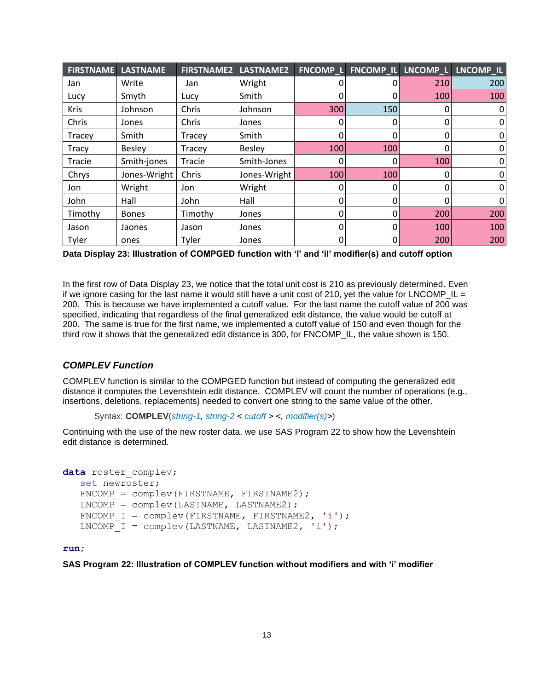| <b>FIRSTNAME</b> | <b>LASTNAME</b> | <b>FIRSTNAME2</b> | LASTNAME2    | <b>FNCOMP L</b> | <b>FNCOMP_IL</b> |     | LNCOMP_L LNCOMP_IL |
|------------------|-----------------|-------------------|--------------|-----------------|------------------|-----|--------------------|
| Jan              | Write           | Jan               | Wright       |                 | 0                | 210 | 200                |
| Lucy             | Smyth           | Lucy              | Smith        |                 | 0                | 100 | 100                |
| <b>Kris</b>      | Johnson         | Chris             | Johnson      | 300             | 150              | 0   | 0                  |
| Chris            | Jones           | Chris             | Jones        | 0               | 0                | 0   | 0                  |
| Tracey           | Smith           | Tracey            | Smith        |                 | 0                | 0   | 0                  |
| <b>Tracy</b>     | <b>Besley</b>   | Tracey            | Besley       | 100             | 100              | 0   | 0                  |
| Tracie           | Smith-jones     | Tracie            | Smith-Jones  | 0               | 0                | 100 | $\mathbf 0$        |
| Chrys            | Jones-Wright    | Chris             | Jones-Wright | 100             | 100              | 0   | $\mathbf 0$        |
| Jon              | Wright          | Jon               | Wright       |                 | 0                | 0   | $\mathbf 0$        |
| John             | Hall            | John              | Hall         | 0               | 0                | 0   | $\overline{0}$     |
| Timothy          | <b>Bones</b>    | Timothy           | Jones        | 0               | 0                | 200 | 200                |
| Jason            | Jaones          | Jason             | Jones        |                 | 0                | 100 | 100                |
| Tyler            | ones            | Tyler             | Jones        | 0               | 0                | 200 | 200                |

<span id="page-12-0"></span>**Data Display 23: Illustration of COMPGED function with 'l' and 'il' modifier(s) and cutoff option**

In the first row of [Data Display 23,](#page-12-0) we notice that the total unit cost is 210 as previously determined. Even if we ignore casing for the last name it would still have a unit cost of 210, yet the value for LNCOMP  $IL =$ 200. This is because we have implemented a cutoff value. For the last name the cutoff value of 200 was specified, indicating that regardless of the final generalized edit distance, the value would be cutoff at 200. The same is true for the first name, we implemented a cutoff value of 150 and even though for the third row it shows that the generalized edit distance is 300, for FNCOMP\_IL, the value shown is 150.

## *COMPLEV Function*

COMPLEV function is similar to the COMPGED function but instead of computing the generalized edit distance it computes the Levenshtein edit distance. COMPLEV will count the number of operations (e.g., insertions, deletions, replacements) needed to convert one string to the same value of the other.

```
Syntax: COMPLEV(string-1, string-2 < cutoff > <, modifier(s)>)
```
Continuing with the use of the new roster data, we use [SAS Program 22](#page-12-1) to show how the Levenshtein edit distance is determined.

```
data roster complev;
    set newroster;
   FNCOMP = complev(FIRSTNAME, FIRSTNAME2);
   LNCOMP = complex(LASTNAME, LASTNAME2);FNCOMP I = \text{complex}(\text{FIRSTNAME}, \text{FIRSTNAME}, 'i');LNCOMP I = complev(LASTNAME, LASTNAME2, 'i');
```
#### **run**;

<span id="page-12-1"></span>**SAS Program 22: Illustration of COMPLEV function without modifiers and with 'i' modifier**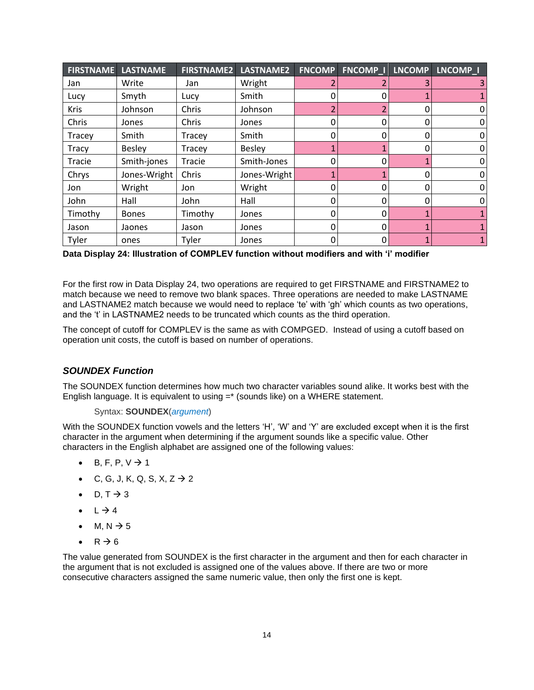| <b>FIRSTNAME</b> | <b>LASTNAME</b> | <b>FIRSTNAME2</b> | LASTNAME2     | <b>FNCOMP</b> | <b>FNCOMP I</b> | <b>LNCOMP</b> | LNCOMP I       |
|------------------|-----------------|-------------------|---------------|---------------|-----------------|---------------|----------------|
| Jan              | Write           | Jan               | Wright        | 2             |                 | 3             | 3 <sup>1</sup> |
| Lucy             | Smyth           | Lucy              | Smith         | 0             | 0               |               |                |
| <b>Kris</b>      | Johnson         | Chris             | Johnson       |               |                 | 0             | 0              |
| Chris            | Jones           | Chris             | Jones         | 0             | 0               | 0             | 0              |
| Tracey           | Smith           | Tracey            | Smith         | 0             | 0               | 0             | 0              |
| Tracy            | <b>Besley</b>   | Tracey            | <b>Besley</b> |               |                 | 0             | 0              |
| Tracie           | Smith-jones     | Tracie            | Smith-Jones   | 0             | 0               | 1             | $\overline{0}$ |
| Chrys            | Jones-Wright    | Chris             | Jones-Wright  |               |                 | 0             | $\overline{0}$ |
| Jon              | Wright          | Jon               | Wright        | 0             | 0               | 0             | $\Omega$       |
| John             | Hall            | John              | Hall          | 0             | 0               | 0             | $\overline{0}$ |
| Timothy          | <b>Bones</b>    | Timothy           | Jones         | 0             | 0               | 1             | $\mathbf{1}$   |
| Jason            | Jaones          | Jason             | Jones         | 0             | 0               | 1             |                |
| Tyler            | ones            | Tyler             | Jones         | 0             | 0               | 1             |                |

<span id="page-13-0"></span>**Data Display 24: Illustration of COMPLEV function without modifiers and with 'i' modifier**

For the first row in [Data Display 24,](#page-13-0) two operations are required to get FIRSTNAME and FIRSTNAME2 to match because we need to remove two blank spaces. Three operations are needed to make LASTNAME and LASTNAME2 match because we would need to replace 'te' with 'gh' which counts as two operations, and the 't' in LASTNAME2 needs to be truncated which counts as the third operation.

The concept of cutoff for COMPLEV is the same as with COMPGED. Instead of using a cutoff based on operation unit costs, the cutoff is based on number of operations.

## *SOUNDEX Function*

The SOUNDEX function determines how much two character variables sound alike. It works best with the English language. It is equivalent to using =\* (sounds like) on a WHERE statement.

#### Syntax: **SOUNDEX**(*argument*)

With the SOUNDEX function vowels and the letters 'H', 'W' and 'Y' are excluded except when it is the first character in the argument when determining if the argument sounds like a specific value. Other characters in the English alphabet are assigned one of the following values:

- B, F, P,  $V \rightarrow 1$
- C, G, J, K, Q, S, X, Z  $\rightarrow$  2
- D,  $T \rightarrow 3$
- $L \rightarrow 4$
- M, N  $\rightarrow$  5
- $R \rightarrow 6$

The value generated from SOUNDEX is the first character in the argument and then for each character in the argument that is not excluded is assigned one of the values above. If there are two or more consecutive characters assigned the same numeric value, then only the first one is kept.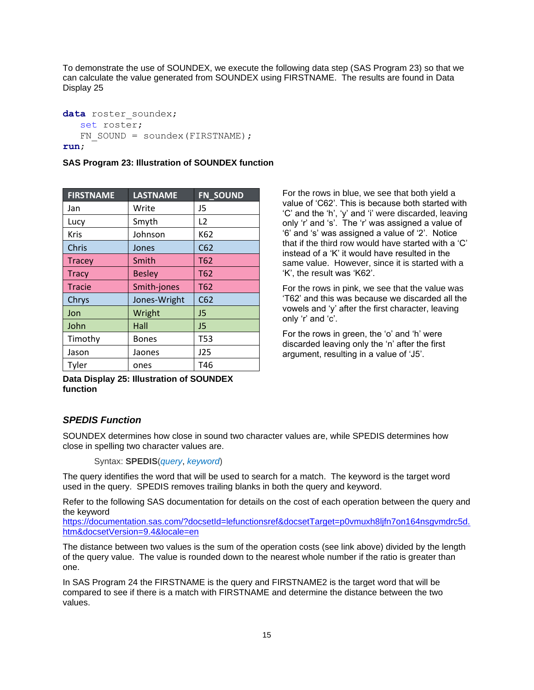To demonstrate the use of SOUNDEX, we execute the following data step [\(SAS Program 23\)](#page-14-0) so that we can calculate the value generated from SOUNDEX using FIRSTNAME. The results are found in [Data](#page-14-1)  [Display 25](#page-14-1)

```
data roster soundex;
    set roster;
   FN SOUND = soundex(FIRSTNAME);
run;
```
### <span id="page-14-0"></span>**SAS Program 23: Illustration of SOUNDEX function**

| <b>FIRSTNAME</b> | <b>LASTNAME</b> | FN_SOUND        |
|------------------|-----------------|-----------------|
| Jan              | Write           | J5              |
| Lucy             | Smyth           | L <sub>2</sub>  |
| Kris             | Johnson         | K62             |
| Chris            | Jones           | C62             |
| <b>Tracey</b>    | Smith           | T <sub>62</sub> |
| <b>Tracy</b>     | <b>Besley</b>   | T62             |
| <b>Tracie</b>    | Smith-jones     | T62             |
| Chrys            | Jones-Wright    | C62             |
| Jon              | Wright          | J <sub>5</sub>  |
| John             | Hall            | J <sub>5</sub>  |
| Timothy          | <b>Bones</b>    | <b>T53</b>      |
| Jason            | Jaones          | J25             |
| Tyler            | ones            | T46             |

<span id="page-14-1"></span>**Data Display 25: Illustration of SOUNDEX function**

*SPEDIS Function*

SOUNDEX determines how close in sound two character values are, while SPEDIS determines how close in spelling two character values are.

Syntax: **SPEDIS**(*query*, *keyword*)

The query identifies the word that will be used to search for a match. The keyword is the target word used in the query. SPEDIS removes trailing blanks in both the query and keyword.

Refer to the following SAS documentation for details on the cost of each operation between the query and the keyword

[https://documentation.sas.com/?docsetId=lefunctionsref&docsetTarget=p0vmuxh8ljfn7on164nsgvmdrc5d.](https://documentation.sas.com/?docsetId=lefunctionsref&docsetTarget=p0vmuxh8ljfn7on164nsgvmdrc5d.htm&docsetVersion=9.4&locale=en) [htm&docsetVersion=9.4&locale=en](https://documentation.sas.com/?docsetId=lefunctionsref&docsetTarget=p0vmuxh8ljfn7on164nsgvmdrc5d.htm&docsetVersion=9.4&locale=en)

The distance between two values is the sum of the operation costs (see link above) divided by the length of the query value. The value is rounded down to the nearest whole number if the ratio is greater than one.

In [SAS Program 24](#page-15-0) the FIRSTNAME is the query and FIRSTNAME2 is the target word that will be compared to see if there is a match with FIRSTNAME and determine the distance between the two values.

For the rows in blue, we see that both yield a value of 'C62'. This is because both started with 'C' and the 'h', 'y' and 'i' were discarded, leaving only 'r' and 's'. The 'r' was assigned a value of '6' and 's' was assigned a value of '2'. Notice that if the third row would have started with a 'C' instead of a 'K' it would have resulted in the same value. However, since it is started with a 'K', the result was 'K62'.

For the rows in pink, we see that the value was 'T62' and this was because we discarded all the vowels and 'y' after the first character, leaving only 'r' and 'c'.

For the rows in green, the 'o' and 'h' were discarded leaving only the 'n' after the first argument, resulting in a value of 'J5'.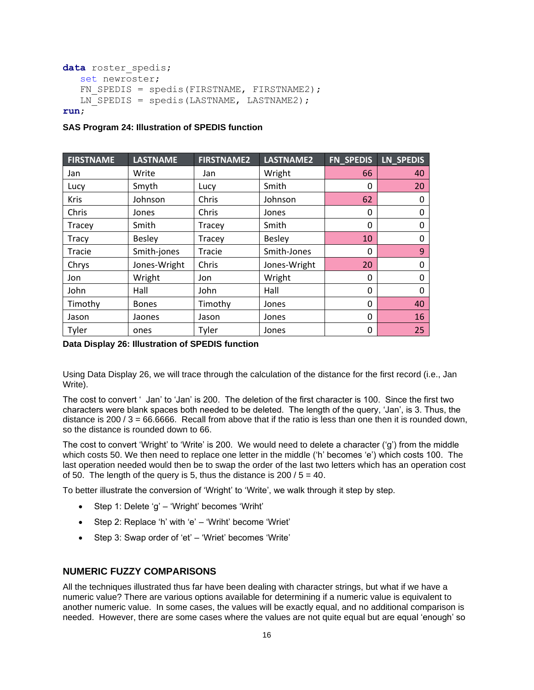```
data roster spedis;
    set newroster;
   FN SPEDIS = spedis(FIRSTNAME, FIRSTNAME2);
   LN SPEDIS = spedis(LASTNAME, LASTNAME2);
run;
```
### <span id="page-15-0"></span>**SAS Program 24: Illustration of SPEDIS function**

| <b>FIRSTNAME</b> | <b>LASTNAME</b> | <b>FIRSTNAME2</b> | <b>LASTNAME2</b> | <b>FN SPEDIS</b> | LN SPEDIS |
|------------------|-----------------|-------------------|------------------|------------------|-----------|
| Jan              | Write           | Jan               | Wright           | 66               | 40        |
| Lucy             | Smyth           | Lucy              | Smith            | 0                | 20        |
| <b>Kris</b>      | Johnson         | Chris             | Johnson          | 62               | 0         |
| Chris            | Jones           | Chris             | Jones            | 0                | 0         |
| Tracey           | Smith           | Tracey            | Smith            | 0                | 0         |
| Tracy            | <b>Besley</b>   | Tracey            | <b>Besley</b>    | 10               | 0         |
| Tracie           | Smith-jones     | Tracie            | Smith-Jones      | 0                | 9         |
| Chrys            | Jones-Wright    | Chris             | Jones-Wright     | 20               | 0         |
| Jon              | Wright          | Jon               | Wright           | 0                | 0         |
| John             | Hall            | John              | Hall             | 0                | 0         |
| Timothy          | <b>Bones</b>    | Timothy           | Jones            | 0                | 40        |
| Jason            | Jaones          | Jason             | Jones            | 0                | 16        |
| Tyler            | ones            | Tyler             | Jones            | 0                | 25        |

### <span id="page-15-1"></span>**Data Display 26: Illustration of SPEDIS function**

Using [Data Display 26,](#page-15-1) we will trace through the calculation of the distance for the first record (i.e., Jan Write).

The cost to convert ' Jan' to 'Jan' is 200. The deletion of the first character is 100. Since the first two characters were blank spaces both needed to be deleted. The length of the query, 'Jan', is 3. Thus, the distance is 200 /  $3 = 66.6666$ . Recall from above that if the ratio is less than one then it is rounded down, so the distance is rounded down to 66.

The cost to convert 'Wright' to 'Write' is 200. We would need to delete a character ('g') from the middle which costs 50. We then need to replace one letter in the middle ('h' becomes 'e') which costs 100. The last operation needed would then be to swap the order of the last two letters which has an operation cost of 50. The length of the query is 5, thus the distance is  $200 / 5 = 40$ .

To better illustrate the conversion of 'Wright' to 'Write', we walk through it step by step.

- Step 1: Delete 'g' 'Wright' becomes 'Wriht'
- Step 2: Replace 'h' with 'e' 'Wriht' become 'Wriet'
- Step 3: Swap order of 'et' 'Wriet' becomes 'Write'

## **NUMERIC FUZZY COMPARISONS**

All the techniques illustrated thus far have been dealing with character strings, but what if we have a numeric value? There are various options available for determining if a numeric value is equivalent to another numeric value. In some cases, the values will be exactly equal, and no additional comparison is needed. However, there are some cases where the values are not quite equal but are equal 'enough' so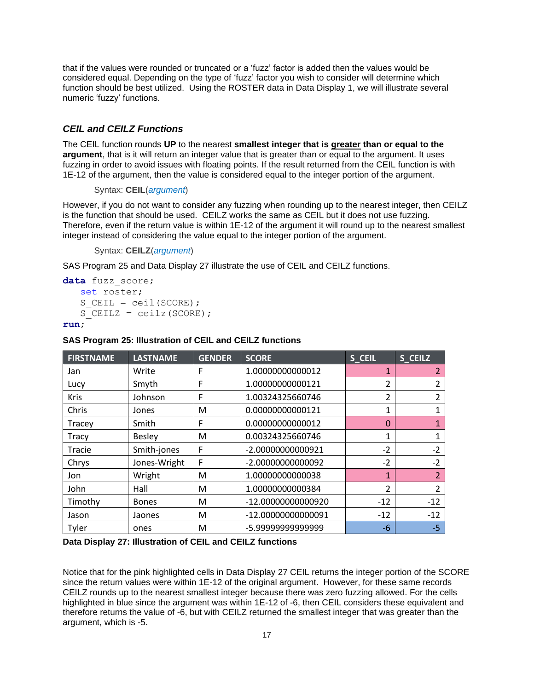that if the values were rounded or truncated or a 'fuzz' factor is added then the values would be considered equal. Depending on the type of 'fuzz' factor you wish to consider will determine which function should be best utilized. Using the ROSTER data in [Data Display 1,](#page-0-0) we will illustrate several numeric 'fuzzy' functions.

## *CEIL and CEILZ Functions*

The CEIL function rounds **UP** to the nearest **smallest integer that is greater than or equal to the argument**, that is it will return an integer value that is greater than or equal to the argument. It uses fuzzing in order to avoid issues with floating points. If the result returned from the CEIL function is with 1E-12 of the argument, then the value is considered equal to the integer portion of the argument.

Syntax: **CEIL**(*argument*)

However, if you do not want to consider any fuzzing when rounding up to the nearest integer, then CEILZ is the function that should be used. CEILZ works the same as CEIL but it does not use fuzzing. Therefore, even if the return value is within 1E-12 of the argument it will round up to the nearest smallest integer instead of considering the value equal to the integer portion of the argument.

Syntax: **CEILZ**(*argument*)

[SAS Program 25](#page-16-0) and [Data Display 27](#page-16-1) illustrate the use of CEIL and CEILZ functions.

```
data fuzz score;
    set roster;
   S CEIL = ceil(SCORE);
   S CEILZ = ceilz(SCORE);
```
#### **run**;

#### <span id="page-16-0"></span>**SAS Program 25: Illustration of CEIL and CEILZ functions**

| <b>FIRSTNAME</b> | <b>LASTNAME</b> | <b>GENDER</b> | <b>SCORE</b>       | S_CEIL        | S_CEILZ        |
|------------------|-----------------|---------------|--------------------|---------------|----------------|
| Jan              | Write           | F             | 1.00000000000012   |               | $\overline{2}$ |
| Lucy             | Smyth           | F             | 1.00000000000121   | 2             | 2              |
| <b>Kris</b>      | Johnson         | F             | 1.00324325660746   | 2             | $\mathfrak{p}$ |
| Chris            | Jones           | М             | 0.00000000000121   | 1             | 1              |
| Tracey           | Smith           | F             | 0.00000000000012   | $\Omega$      | $\mathbf 1$    |
| Tracy            | <b>Besley</b>   | M             | 0.00324325660746   | 1             | 1              |
| Tracie           | Smith-jones     | F             | -2.00000000000921  | $-2$          | $-2$           |
| Chrys            | Jones-Wright    | F             | -2.00000000000092  | $-2$          | $-2$           |
| Jon              | Wright          | M             | 1.00000000000038   | $\mathbf{1}$  | $\overline{2}$ |
| John             | Hall            | M             | 1.00000000000384   | $\mathfrak z$ | 2              |
| Timothy          | <b>Bones</b>    | M             | -12.0000000000920  | $-12$         | $-12$          |
| Jason            | Jaones          | M             | -12.00000000000091 | $-12$         | $-12$          |
| Tyler            | ones            | M             | -5.99999999999999  | $-6$          | $-5$           |

#### <span id="page-16-1"></span>**Data Display 27: Illustration of CEIL and CEILZ functions**

Notice that for the pink highlighted cells in [Data Display 27](#page-16-1) CEIL returns the integer portion of the SCORE since the return values were within 1E-12 of the original argument. However, for these same records CEILZ rounds up to the nearest smallest integer because there was zero fuzzing allowed. For the cells highlighted in blue since the argument was within 1E-12 of -6, then CEIL considers these equivalent and therefore returns the value of -6, but with CEILZ returned the smallest integer that was greater than the argument, which is -5.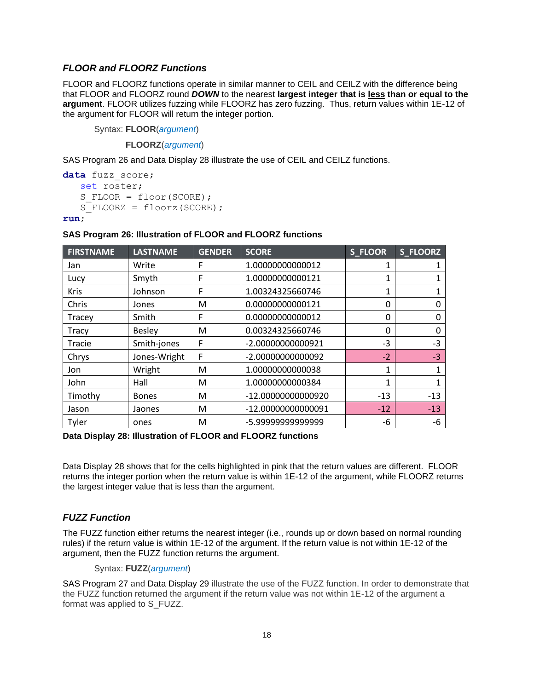## *FLOOR and FLOORZ Functions*

FLOOR and FLOORZ functions operate in similar manner to CEIL and CEILZ with the difference being that FLOOR and FLOORZ round *DOWN* to the nearest **largest integer that is less than or equal to the argument**. FLOOR utilizes fuzzing while FLOORZ has zero fuzzing. Thus, return values within 1E-12 of the argument for FLOOR will return the integer portion.

Syntax: **FLOOR**(*argument*)

**FLOORZ**(*argument*)

[SAS Program 26](#page-17-0) and [Data Display 28](#page-17-1) illustrate the use of CEIL and CEILZ functions.

```
data fuzz score;
    set roster;
   S FLOOR = floor(SCORE);
   S FLOORZ = floorz(SCORE):
```
**run**;

### <span id="page-17-0"></span>**SAS Program 26: Illustration of FLOOR and FLOORZ functions**

| <b>FIRSTNAME</b> | <b>LASTNAME</b> | <b>GENDER</b> | <b>SCORE</b>       | S_FLOOR  | S_FLOORZ |
|------------------|-----------------|---------------|--------------------|----------|----------|
| Jan              | Write           | F             | 1.00000000000012   |          |          |
| Lucy             | Smyth           | F             | 1.00000000000121   |          |          |
| <b>Kris</b>      | Johnson         | F             | 1.00324325660746   | 1        |          |
| Chris            | Jones           | м             | 0.00000000000121   | 0        | 0        |
| Tracey           | Smith           | F             | 0.00000000000012   | 0        | 0        |
| Tracy            | <b>Besley</b>   | м             | 0.00324325660746   | $\Omega$ | 0        |
| Tracie           | Smith-jones     | F             | -2.00000000000921  | $-3$     | $-3$     |
| Chrys            | Jones-Wright    | F             | -2.00000000000092  | $-2$     | $-3$     |
| Jon              | Wright          | м             | 1.00000000000038   | 1        | 1        |
| John             | Hall            | м             | 1.00000000000384   | 1        |          |
| Timothy          | <b>Bones</b>    | м             | -12.00000000000920 | $-13$    | $-13$    |
| Jason            | Jaones          | м             | -12.00000000000091 | $-12$    | $-13$    |
| Tyler            | ones            | M             | -5.9999999999999   | -6       | -6       |

<span id="page-17-1"></span>**Data Display 28: Illustration of FLOOR and FLOORZ functions**

[Data Display 28](#page-17-1) shows that for the cells highlighted in pink that the return values are different. FLOOR returns the integer portion when the return value is within 1E-12 of the argument, while FLOORZ returns the largest integer value that is less than the argument.

## *FUZZ Function*

The FUZZ function either returns the nearest integer (i.e., rounds up or down based on normal rounding rules) if the return value is within 1E-12 of the argument. If the return value is not within 1E-12 of the argument, then the FUZZ function returns the argument.

Syntax: **FUZZ**(*argument*)

[SAS Program 27](#page-18-0) and [Data Display 29](#page-18-1) illustrate the use of the FUZZ function. In order to demonstrate that the FUZZ function returned the argument if the return value was not within 1E-12 of the argument a format was applied to S\_FUZZ.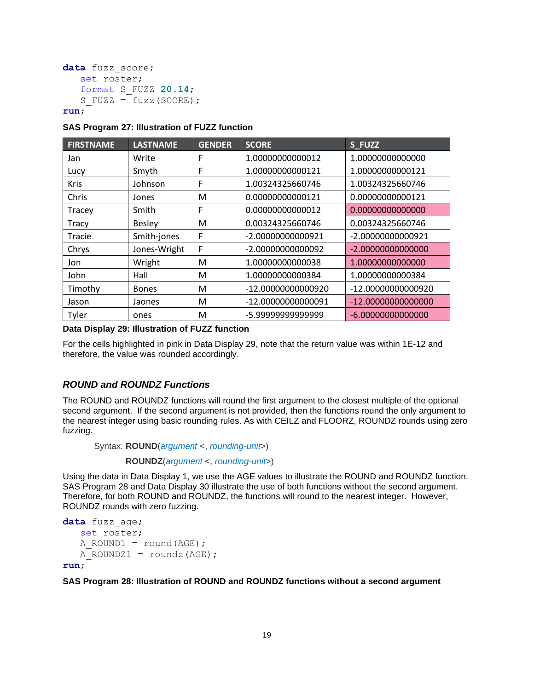```
data fuzz score;
    set roster;
    format S_FUZZ 20.14;
   S FUZZ = fuzz(SCORE);
```
### **run**;

### <span id="page-18-0"></span>**SAS Program 27: Illustration of FUZZ function**

| <b>FIRSTNAME</b> | <b>LASTNAME</b> | <b>GENDER</b> | <b>SCORE</b>       | S_FUZZ               |
|------------------|-----------------|---------------|--------------------|----------------------|
| Jan              | Write           | F             | 1.00000000000012   | 1.00000000000000     |
| Lucy             | Smyth           | F             | 1.00000000000121   | 1.00000000000121     |
| <b>Kris</b>      | Johnson         | F             | 1.00324325660746   | 1.00324325660746     |
| Chris            | Jones           | M             | 0.00000000000121   | 0.00000000000121     |
| Tracey           | Smith           | F             | 0.00000000000012   | 0.00000000000000     |
| <b>Tracy</b>     | <b>Besley</b>   | M             | 0.00324325660746   | 0.00324325660746     |
| Tracie           | Smith-jones     | F             | -2.00000000000921  | -2.00000000000921    |
| Chrys            | Jones-Wright    | F             | -2.00000000000092  | $-2.00000000000000$  |
| Jon              | Wright          | M             | 1.00000000000038   | 1.00000000000000     |
| John             | Hall            | M             | 1.00000000000384   | 1.00000000000384     |
| Timothy          | <b>Bones</b>    | M             | -12.00000000000920 | -12.00000000000920   |
| Jason            | Jaones          | M             | -12.00000000000091 | $-12.00000000000000$ |
| Tyler            | ones            | M             | -5.99999999999999  | $-6.00000000000000$  |

#### <span id="page-18-1"></span>**Data Display 29: Illustration of FUZZ function**

For the cells highlighted in pink in [Data Display 29,](#page-18-1) note that the return value was within 1E-12 and therefore, the value was rounded accordingly.

### *ROUND and ROUNDZ Functions*

The ROUND and ROUNDZ functions will round the first argument to the closest multiple of the optional second argument. If the second argument is not provided, then the functions round the only argument to the nearest integer using basic rounding rules. As with CEILZ and FLOORZ, ROUNDZ rounds using zero fuzzing.

Syntax: **ROUND**(*argument* <, *rounding-unit*>)

**ROUNDZ**(*argument* <, *rounding-unit*>)

Using the data in [Data Display 1,](#page-0-0) we use the AGE values to illustrate the ROUND and ROUNDZ function. [SAS Program 28](#page-18-2) and [Data Display 30](#page-19-0) illustrate the use of both functions without the second argument. Therefore, for both ROUND and ROUNDZ, the functions will round to the nearest integer. However, ROUNDZ rounds with zero fuzzing.

```
data fuzz_age;
   set roster;
   A ROUND1 = round(AGE);
   A ROUNDZ1 = roundz(AGE);
```
**run**;

<span id="page-18-2"></span>**SAS Program 28: Illustration of ROUND and ROUNDZ functions without a second argument**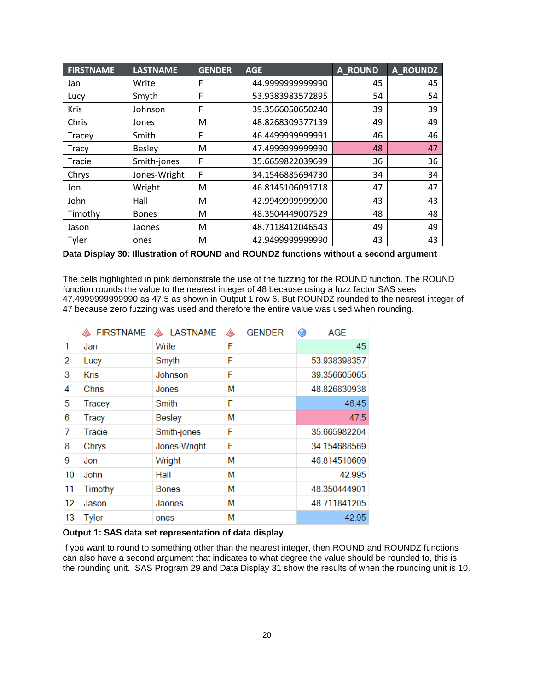| <b>FIRSTNAME</b> | <b>LASTNAME</b> | <b>GENDER</b> | <b>AGE</b>       | <b>A_ROUND</b> | <b>A_ROUNDZ</b> |
|------------------|-----------------|---------------|------------------|----------------|-----------------|
| Jan              | Write           | F             | 44.999999999990  | 45             | 45              |
| Lucy             | Smyth           | F             | 53.9383983572895 | 54             | 54              |
| <b>Kris</b>      | Johnson         | F             | 39.3566050650240 | 39             | 39              |
| Chris            | Jones           | M             | 48.8268309377139 | 49             | 49              |
| Tracey           | Smith           | F             | 46.4499999999991 | 46             | 46              |
| <b>Tracy</b>     | <b>Besley</b>   | M             | 47.499999999990  | 48             | 47              |
| <b>Tracie</b>    | Smith-jones     | F             | 35.6659822039699 | 36             | 36              |
| Chrys            | Jones-Wright    | F             | 34.1546885694730 | 34             | 34              |
| Jon              | Wright          | M             | 46.8145106091718 | 47             | 47              |
| John             | Hall            | M             | 42.9949999999900 | 43             | 43              |
| Timothy          | <b>Bones</b>    | M             | 48.3504449007529 | 48             | 48              |
| Jason            | Jaones          | M             | 48.7118412046543 | 49             | 49              |
| Tyler            | ones            | M             | 42.9499999999990 | 43             | 43              |

<span id="page-19-0"></span>**Data Display 30: Illustration of ROUND and ROUNDZ functions without a second argument**

The cells highlighted in pink demonstrate the use of the fuzzing for the ROUND function. The ROUND function rounds the value to the nearest integer of 48 because using a fuzz factor SAS sees 47.4999999999990 as 47.5 as shown in [Output 1](#page-19-1) row 6. But ROUNDZ rounded to the nearest integer of 47 because zero fuzzing was used and therefore the entire value was used when rounding.

|    | <b>A FIRSTNAME</b> | <b>A LASTNAME</b> | <b>GENDER</b><br>◬ | <b>AGE</b><br>$\bigcirc$ |
|----|--------------------|-------------------|--------------------|--------------------------|
| 1  | Jan                | Write             | F                  | 45                       |
| 2  | Lucy               | Smyth             | F                  | 53.938398357             |
| 3  | <b>Kris</b>        | Johnson           | F                  | 39.356605065             |
| 4  | Chris              | Jones             | М                  | 48.826830938             |
| 5  | Tracey             | Smith             | F                  | 46.45                    |
| 6  | Tracy              | Besley            | М                  | 47.5                     |
| 7  | Tracie             | Smith-jones       | F                  | 35.665982204             |
| 8  | Chrys              | Jones-Wright      | F                  | 34.154688569             |
| 9  | Jon                | Wright            | М                  | 46.814510609             |
| 10 | John               | Hall              | М                  | 42.995                   |
| 11 | Timothy            | <b>Bones</b>      | М                  | 48.350444901             |
| 12 | Jason              | Jaones            | М                  | 48.711841205             |
| 13 | <b>Tyler</b>       | ones              | М                  | 42.95                    |

<span id="page-19-1"></span>**Output 1: SAS data set representation of data display**

If you want to round to something other than the nearest integer, then ROUND and ROUNDZ functions can also have a second argument that indicates to what degree the value should be rounded to, this is the rounding unit. [SAS Program 29](#page-20-0) and [Data Display 31](#page-20-1) show the results of when the rounding unit is 10.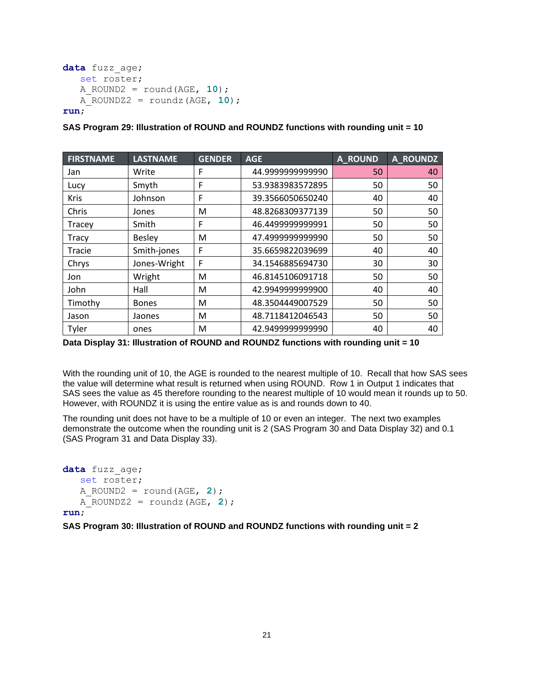```
data fuzz_age;
    set roster;
    A_ROUND2 = round(AGE, 10);
    A_ROUNDZ2 = roundz(AGE, 10);
```
## **run**;

<span id="page-20-0"></span>

| SAS Program 29: Illustration of ROUND and ROUNDZ functions with rounding unit = 10 |  |  |  |
|------------------------------------------------------------------------------------|--|--|--|
|------------------------------------------------------------------------------------|--|--|--|

| <b>FIRSTNAME</b> | <b>LASTNAME</b> | <b>GENDER</b> | <b>AGE</b>       | A ROUND | <b>A_ROUNDZ</b> |
|------------------|-----------------|---------------|------------------|---------|-----------------|
| Jan              | Write           | F             | 44.999999999990  | 50      | 40              |
| Lucy             | Smyth           | F             | 53.9383983572895 | 50      | 50              |
| <b>Kris</b>      | Johnson         | F             | 39.3566050650240 | 40      | 40              |
| Chris            | Jones           | M             | 48.8268309377139 | 50      | 50              |
| Tracey           | Smith           | F             | 46.449999999991  | 50      | 50              |
| <b>Tracy</b>     | <b>Besley</b>   | M             | 47.499999999990  | 50      | 50              |
| Tracie           | Smith-jones     | F             | 35.6659822039699 | 40      | 40              |
| Chrys            | Jones-Wright    | F             | 34.1546885694730 | 30      | 30              |
| Jon              | Wright          | M             | 46.8145106091718 | 50      | 50              |
| John             | Hall            | M             | 42.9949999999900 | 40      | 40              |
| Timothy          | <b>Bones</b>    | M             | 48.3504449007529 | 50      | 50              |
| Jason            | Jaones          | M             | 48.7118412046543 | 50      | 50              |
| Tyler            | ones            | M             | 42.949999999990  | 40      | 40              |

<span id="page-20-1"></span>**Data Display 31: Illustration of ROUND and ROUNDZ functions with rounding unit = 10**

With the rounding unit of 10, the AGE is rounded to the nearest multiple of 10. Recall that how SAS sees the value will determine what result is returned when using ROUND. Row 1 in [Output 1](#page-19-1) indicates that SAS sees the value as 45 therefore rounding to the nearest multiple of 10 would mean it rounds up to 50. However, with ROUNDZ it is using the entire value as is and rounds down to 40.

The rounding unit does not have to be a multiple of 10 or even an integer. The next two examples demonstrate the outcome when the rounding unit is 2 [\(SAS Program 30](#page-20-2) and [Data Display 32\)](#page-21-0) and 0.1 [\(SAS Program 31](#page-21-1) and [Data Display 33\)](#page-21-2).

```
data fuzz_age;
    set roster;
    A_ROUND2 = round(AGE, 2);
   A ROUNDZ2 = roundz(AGE, 2);
```
**run**;

#### <span id="page-20-2"></span>**SAS Program 30: Illustration of ROUND and ROUNDZ functions with rounding unit = 2**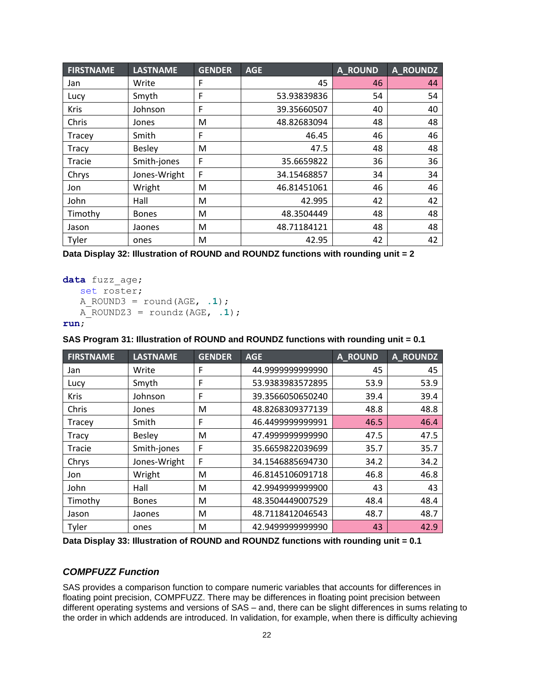| <b>FIRSTNAME</b> | <b>LASTNAME</b> | <b>GENDER</b> | <b>AGE</b>  | A ROUND | <b>A_ROUNDZ</b> |
|------------------|-----------------|---------------|-------------|---------|-----------------|
| Jan              | Write           | F             | 45          | 46      | 44              |
| Lucy             | Smyth           | F             | 53.93839836 | 54      | 54              |
| <b>Kris</b>      | Johnson         | F             | 39.35660507 | 40      | 40              |
| Chris            | Jones           | M             | 48.82683094 | 48      | 48              |
| Tracey           | Smith           | F             | 46.45       | 46      | 46              |
| <b>Tracy</b>     | <b>Besley</b>   | M             | 47.5        | 48      | 48              |
| Tracie           | Smith-jones     | F             | 35.6659822  | 36      | 36              |
| Chrys            | Jones-Wright    | F             | 34.15468857 | 34      | 34              |
| Jon              | Wright          | M             | 46.81451061 | 46      | 46              |
| John             | Hall            | M             | 42.995      | 42      | 42              |
| Timothy          | <b>Bones</b>    | M             | 48.3504449  | 48      | 48              |
| Jason            | Jaones          | M             | 48.71184121 | 48      | 48              |
| Tyler            | ones            | M             | 42.95       | 42      | 42              |

<span id="page-21-0"></span>**Data Display 32: Illustration of ROUND and ROUNDZ functions with rounding unit = 2**

```
data fuzz_age;
    set roster;
    A_ROUND3 = round(AGE, .1);
   A ROUNDZ3 = roundz(AGE, .1);run;
```
#### <span id="page-21-1"></span>**SAS Program 31: Illustration of ROUND and ROUNDZ functions with rounding unit = 0.1**

| <b>FIRSTNAME</b> | <b>LASTNAME</b> | <b>GENDER</b> | <b>AGE</b>       | <b>A_ROUND</b> | <b>A_ROUNDZ</b> |
|------------------|-----------------|---------------|------------------|----------------|-----------------|
| Jan              | Write           | F             | 44.999999999990  | 45             | 45              |
| Lucy             | Smyth           | F             | 53.9383983572895 | 53.9           | 53.9            |
| Kris             | Johnson         | F             | 39.3566050650240 | 39.4           | 39.4            |
| Chris            | Jones           | M             | 48.8268309377139 | 48.8           | 48.8            |
| Tracey           | Smith           | F             | 46.4499999999991 | 46.5           | 46.4            |
| Tracy            | <b>Besley</b>   | M             | 47.499999999990  | 47.5           | 47.5            |
| Tracie           | Smith-jones     | F             | 35.6659822039699 | 35.7           | 35.7            |
| Chrys            | Jones-Wright    | F             | 34.1546885694730 | 34.2           | 34.2            |
| Jon              | Wright          | M             | 46.8145106091718 | 46.8           | 46.8            |
| John             | Hall            | M             | 42.9949999999900 | 43             | 43              |
| Timothy          | <b>Bones</b>    | M             | 48.3504449007529 | 48.4           | 48.4            |
| Jason            | Jaones          | M             | 48.7118412046543 | 48.7           | 48.7            |
| Tyler            | ones            | M             | 42.949999999990  | 43             | 42.9            |

<span id="page-21-2"></span>**Data Display 33: Illustration of ROUND and ROUNDZ functions with rounding unit = 0.1**

## *COMPFUZZ Function*

SAS provides a comparison function to compare numeric variables that accounts for differences in floating point precision, COMPFUZZ. There may be differences in floating point precision between different operating systems and versions of SAS – and, there can be slight differences in sums relating to the order in which addends are introduced. In validation, for example, when there is difficulty achieving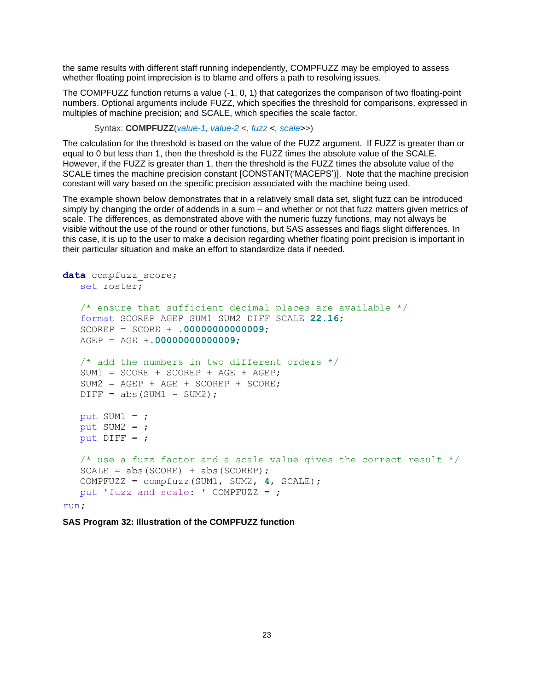the same results with different staff running independently, COMPFUZZ may be employed to assess whether floating point imprecision is to blame and offers a path to resolving issues.

The COMPFUZZ function returns a value (-1, 0, 1) that categorizes the comparison of two floating-point numbers. Optional arguments include FUZZ, which specifies the threshold for comparisons, expressed in multiples of machine precision; and SCALE, which specifies the scale factor.

Syntax: **COMPFUZZ**(*value-1, value-2* <, *fuzz <, scale>*>)

The calculation for the threshold is based on the value of the FUZZ argument. If FUZZ is greater than or equal to 0 but less than 1, then the threshold is the FUZZ times the absolute value of the SCALE. However, if the FUZZ is greater than 1, then the threshold is the FUZZ times the absolute value of the SCALE times the machine precision constant [CONSTANT('MACEPS')]. Note that the machine precision constant will vary based on the specific precision associated with the machine being used.

The example shown below demonstrates that in a relatively small data set, slight fuzz can be introduced simply by changing the order of addends in a sum – and whether or not that fuzz matters given metrics of scale. The differences, as demonstrated above with the numeric fuzzy functions, may not always be visible without the use of the round or other functions, but SAS assesses and flags slight differences. In this case, it is up to the user to make a decision regarding whether floating point precision is important in their particular situation and make an effort to standardize data if needed.

```
data compfuzz_score; 
    set roster;
   /* ensure that sufficient decimal places are available */ format SCOREP AGEP SUM1 SUM2 DIFF SCALE 22.16;
    SCOREP = SCORE + .00000000000009;
    AGEP = AGE +.00000000000009;
   /* add the numbers in two different orders */SUM1 = SCORE + SCOREP + AGE + AGER;
   SUM2 = AGEP + AGE + SCOREP + SCORE;DIFF = abs(SUM1 - SUM2);put SUM1 = ;put SUM2 = ;put DIFF = j /* use a fuzz factor and a scale value gives the correct result */
   SCALE = abs(SCORE) + abs(SCORE);
    COMPFUZZ = compfuzz(SUM1, SUM2, 4, SCALE);
    put 'fuzz and scale: ' COMPFUZZ = ;
run;
```
**SAS Program 32: Illustration of the COMPFUZZ function**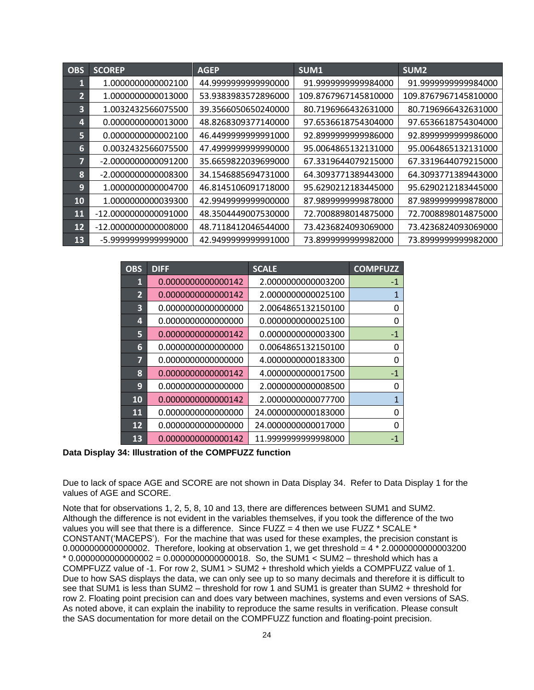| <b>OBS</b>     | <b>SCOREP</b>          | <b>AGEP</b>         | SUM1                 | SUM <sub>2</sub>     |
|----------------|------------------------|---------------------|----------------------|----------------------|
| 1              | 1.0000000000002100     | 44.999999999990000  | 91.999999999984000   | 91.999999999984000   |
| $\overline{2}$ | 1.0000000000013000     | 53.9383983572896000 | 109.8767967145810000 | 109.8767967145810000 |
| 3              | 1.0032432566075500     | 39.3566050650240000 | 80.7196966432631000  | 80.7196966432631000  |
| 4              | 0.0000000000013000     | 48.8268309377140000 | 97.6536618754304000  | 97.6536618754304000  |
| 5              | 0.0000000000002100     | 46.4499999999991000 | 92.899999999986000   | 92.899999999986000   |
| 6              | 0.0032432566075500     | 47.499999999990000  | 95.0064865132131000  | 95.0064865132131000  |
| 7              | -2.0000000000091200    | 35.6659822039699000 | 67.3319644079215000  | 67.3319644079215000  |
| 8              | -2.0000000000008300    | 34.1546885694731000 | 64.3093771389443000  | 64.3093771389443000  |
| 9              | 1.0000000000004700     | 46.8145106091718000 | 95.6290212183445000  | 95.6290212183445000  |
| <b>10</b>      | 1.0000000000039300     | 42.994999999900000  | 87.9899999999878000  | 87.9899999999878000  |
| 11             | -12.0000000000091000   | 48.3504449007530000 | 72.7008898014875000  | 72.7008898014875000  |
| 12             | $-12.0000000000008000$ | 48.7118412046544000 | 73.4236824093069000  | 73.4236824093069000  |
| 13             | -5.999999999999000     | 42.9499999999991000 | 73.899999999982000   | 73.899999999982000   |

| <b>OBS</b>     | <b>DIFF</b>        | <b>SCALE</b>        | <b>COMPFUZZ</b> |
|----------------|--------------------|---------------------|-----------------|
| 1              | 0.0000000000000142 | 2.0000000000003200  | $-1$            |
| $\overline{2}$ | 0.0000000000000142 | 2.0000000000025100  | $\mathbf 1$     |
| 3              | 0.0000000000000000 | 2.0064865132150100  | 0               |
| 4              | 0.0000000000000000 | 0.0000000000025100  | 0               |
| 5              | 0.0000000000000142 | 0.0000000000003300  | -1              |
| 6              | 0.0000000000000000 | 0.0064865132150100  | 0               |
| 7              | 0.0000000000000000 | 4.0000000000183300  | 0               |
| 8              | 0.0000000000000142 | 4.0000000000017500  | $-1$            |
| 9              | 0.0000000000000000 | 2.0000000000008500  | 0               |
| 10             | 0.0000000000000142 | 2.0000000000077700  | $\mathbf{1}$    |
| 11             | 0.0000000000000000 | 24.0000000000183000 | 0               |
| 12             | 0.0000000000000000 | 24.0000000000017000 | 0               |
| 13             | 0.0000000000000142 | 11.999999999998000  | $-1$            |

<span id="page-23-0"></span>**Data Display 34: Illustration of the COMPFUZZ function**

Due to lack of space AGE and SCORE are not shown in [Data Display 34.](#page-23-0) Refer to [Data Display 1](#page-0-0) for the values of AGE and SCORE.

Note that for observations 1, 2, 5, 8, 10 and 13, there are differences between SUM1 and SUM2. Although the difference is not evident in the variables themselves, if you took the difference of the two values you will see that there is a difference. Since FUZZ = 4 then we use FUZZ  $*$  SCALE  $*$ CONSTANT('MACEPS'). For the machine that was used for these examples, the precision constant is  $0.000000000000002$ . Therefore, looking at observation 1, we get threshold =  $4 * 2.0000000000003200$ \* 0.0000000000000002 = 0.0000000000000018. So, the SUM1 < SUM2 – threshold which has a COMPFUZZ value of -1. For row 2, SUM1 > SUM2 + threshold which yields a COMPFUZZ value of 1. Due to how SAS displays the data, we can only see up to so many decimals and therefore it is difficult to see that SUM1 is less than SUM2 – threshold for row 1 and SUM1 is greater than SUM2 + threshold for row 2. Floating point precision can and does vary between machines, systems and even versions of SAS. As noted above, it can explain the inability to reproduce the same results in verification. Please consult the SAS documentation for more detail on the COMPFUZZ function and floating-point precision.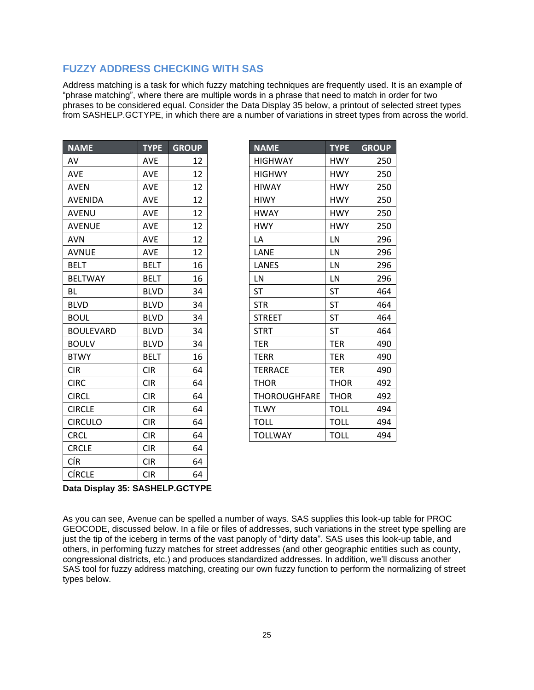# **FUZZY ADDRESS CHECKING WITH SAS**

Address matching is a task for which fuzzy matching techniques are frequently used. It is an example of "phrase matching", where there are multiple words in a phrase that need to match in order for two phrases to be considered equal. Consider the [Data Display 35](#page-24-0) below, a printout of selected street types from SASHELP.GCTYPE, in which there are a number of variations in street types from across the world.

| <b>NAME</b>      | <b>TYPE</b> | <b>GROUP</b> |
|------------------|-------------|--------------|
| AV               | <b>AVE</b>  | 12           |
| <b>AVE</b>       | <b>AVE</b>  | 12           |
| <b>AVEN</b>      | <b>AVE</b>  | 12           |
| <b>AVENIDA</b>   | <b>AVE</b>  | 12           |
| <b>AVENU</b>     | AVE         | 12           |
| <b>AVENUE</b>    | <b>AVE</b>  | 12           |
| <b>AVN</b>       | AVE         | 12           |
| <b>AVNUE</b>     | <b>AVE</b>  | 12           |
| <b>BELT</b>      | <b>BELT</b> | 16           |
| <b>BELTWAY</b>   | <b>BELT</b> | 16           |
| <b>BL</b>        | <b>BLVD</b> | 34           |
| <b>BLVD</b>      | <b>BLVD</b> | 34           |
| <b>BOUL</b>      | <b>BLVD</b> | 34           |
| <b>BOULEVARD</b> | <b>BLVD</b> | 34           |
| <b>BOULV</b>     | <b>BLVD</b> | 34           |
| <b>BTWY</b>      | <b>BELT</b> | 16           |
| <b>CIR</b>       | <b>CIR</b>  | 64           |
| <b>CIRC</b>      | <b>CIR</b>  | 64           |
| <b>CIRCL</b>     | <b>CIR</b>  | 64           |
| <b>CIRCLE</b>    | <b>CIR</b>  | 64           |
| <b>CIRCULO</b>   | <b>CIR</b>  | 64           |
| <b>CRCL</b>      | <b>CIR</b>  | 64           |
| <b>CRCLE</b>     | <b>CIR</b>  | 64           |
| CÍR              | <b>CIR</b>  | 64           |
| <b>CÍRCLE</b>    | <b>CIR</b>  | 64           |

| <b>NAME</b>      | <b>TYPE</b> | <b>GROUP</b> | <b>NAME</b>         | <b>TYPE</b> | <b>GROUP</b> |
|------------------|-------------|--------------|---------------------|-------------|--------------|
| AV               | <b>AVE</b>  | 12           | <b>HIGHWAY</b>      | <b>HWY</b>  | 250          |
| AVE              | <b>AVE</b>  | 12           | <b>HIGHWY</b>       | <b>HWY</b>  | 250          |
| AVEN             | <b>AVE</b>  | 12           | <b>HIWAY</b>        | <b>HWY</b>  | 250          |
| AVENIDA          | <b>AVE</b>  | 12           | <b>HIWY</b>         | <b>HWY</b>  | 250          |
| AVENU            | <b>AVE</b>  | 12           | <b>HWAY</b>         | <b>HWY</b>  | 250          |
| <b>AVENUE</b>    | <b>AVE</b>  | 12           | <b>HWY</b>          | <b>HWY</b>  | 250          |
| AVN              | <b>AVE</b>  | 12           | LA                  | LN          | 296          |
| AVNUE            | <b>AVE</b>  | 12           | LANE                | LN          | 296          |
| <b>BELT</b>      | <b>BELT</b> | 16           | LANES               | LN          | 296          |
| <b>BELTWAY</b>   | <b>BELT</b> | 16           | LN                  | LN          | 296          |
| ВL               | <b>BLVD</b> | 34           | <b>ST</b>           | ST          | 464          |
| <b>BLVD</b>      | <b>BLVD</b> | 34           | <b>STR</b>          | <b>ST</b>   | 464          |
| BOUL             | <b>BLVD</b> | 34           | <b>STREET</b>       | ST          | 464          |
| <b>BOULEVARD</b> | <b>BLVD</b> | 34           | <b>STRT</b>         | <b>ST</b>   | 464          |
| <b>BOULV</b>     | <b>BLVD</b> | 34           | <b>TER</b>          | <b>TER</b>  | 490          |
| <b>BTWY</b>      | <b>BELT</b> | 16           | <b>TERR</b>         | <b>TER</b>  | 490          |
| CIR              | <b>CIR</b>  | 64           | <b>TERRACE</b>      | <b>TER</b>  | 490          |
| <b>CIRC</b>      | <b>CIR</b>  | 64           | <b>THOR</b>         | <b>THOR</b> | 492          |
| <b>CIRCL</b>     | <b>CIR</b>  | 64           | <b>THOROUGHFARE</b> | <b>THOR</b> | 492          |
| <b>CIRCLE</b>    | <b>CIR</b>  | 64           | <b>TLWY</b>         | <b>TOLL</b> | 494          |
| <b>CIRCULO</b>   | <b>CIR</b>  | 64           | <b>TOLL</b>         | <b>TOLL</b> | 494          |
| CRCL             | <b>CIR</b>  | 64           | <b>TOLLWAY</b>      | <b>TOLL</b> | 494          |

## <span id="page-24-0"></span>**Data Display 35: SASHELP.GCTYPE**

As you can see, Avenue can be spelled a number of ways. SAS supplies this look-up table for PROC GEOCODE, discussed below. In a file or files of addresses, such variations in the street type spelling are just the tip of the iceberg in terms of the vast panoply of "dirty data". SAS uses this look-up table, and others, in performing fuzzy matches for street addresses (and other geographic entities such as county, congressional districts, etc.) and produces standardized addresses. In addition, we'll discuss another SAS tool for fuzzy address matching, creating our own fuzzy function to perform the normalizing of street types below.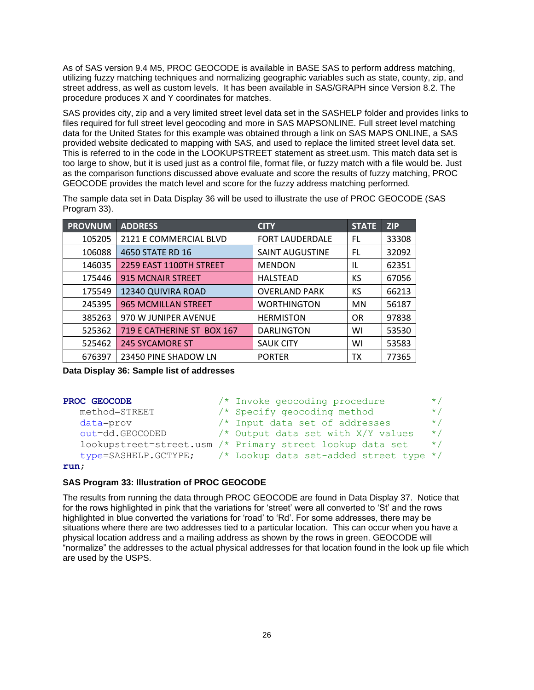As of SAS version 9.4 M5, PROC GEOCODE is available in BASE SAS to perform address matching, utilizing fuzzy matching techniques and normalizing geographic variables such as state, county, zip, and street address, as well as custom levels. It has been available in SAS/GRAPH since Version 8.2. The procedure produces X and Y coordinates for matches.

SAS provides city, zip and a very limited street level data set in the SASHELP folder and provides links to files required for full street level geocoding and more in SAS MAPSONLINE. Full street level matching data for the United States for this example was obtained through a link on SAS MAPS ONLINE, a SAS provided website dedicated to mapping with SAS, and used to replace the limited street level data set. This is referred to in the code in the LOOKUPSTREET statement as street.usm. This match data set is too large to show, but it is used just as a control file, format file, or fuzzy match with a file would be. Just as the comparison functions discussed above evaluate and score the results of fuzzy matching, PROC GEOCODE provides the match level and score for the fuzzy address matching performed.

| <b>PROVNUM</b> | <b>ADDRESS</b>             | <b>CITY</b>            | <b>STATE</b> | <b>ZIP</b> |
|----------------|----------------------------|------------------------|--------------|------------|
| 105205         | 2121 E COMMERCIAL BLVD     | <b>FORT LAUDERDALE</b> | FL           | 33308      |
| 106088         | 4650 STATE RD 16           | <b>SAINT AUGUSTINE</b> | FL           | 32092      |
| 146035         | 2259 EAST 1100TH STREET    | <b>MENDON</b>          | IL           | 62351      |
| 175446         | <b>915 MCNAIR STREET</b>   | <b>HALSTEAD</b>        | КS           | 67056      |
| 175549         | 12340 QUIVIRA ROAD         | <b>OVERLAND PARK</b>   | КS           | 66213      |
| 245395         | <b>965 MCMILLAN STREET</b> | <b>WORTHINGTON</b>     | <b>MN</b>    | 56187      |
| 385263         | 970 W JUNIPER AVENUE       | <b>HERMISTON</b>       | <b>OR</b>    | 97838      |
| 525362         | 719 E CATHERINE ST BOX 167 | <b>DARLINGTON</b>      | WI           | 53530      |
| 525462         | <b>245 SYCAMORE ST</b>     | <b>SAUK CITY</b>       | WI           | 53583      |
| 676397         | 23450 PINE SHADOW LN       | <b>PORTER</b>          | тх           | 77365      |

The sample data set in [Data Display 36](#page-25-0) will be used to illustrate the use of PROC GEOCODE [\(SAS](#page-25-1)  [Program 33\)](#page-25-1).

<span id="page-25-0"></span>**Data Display 36: Sample list of addresses**

| PROC GEOCODE         | /* Invoke geocoding procedure                             | $\star$ / |
|----------------------|-----------------------------------------------------------|-----------|
| method=STREET        | $/*$ Specify geocoding method                             | $\star$ / |
| data=prov            | /* Input data set of addresses                            | $\star$ / |
| out=dd.GEOCODED      | /* Output data set with X/Y values                        | $\star$ / |
|                      | lookupstreet=street.usm /* Primary street lookup data set | $\star$ / |
| type=SASHELP.GCTYPE; | /* Lookup data set-added street type */                   |           |
|                      |                                                           |           |

#### **run**;

#### <span id="page-25-1"></span>**SAS Program 33: Illustration of PROC GEOCODE**

The results from running the data through PROC GEOCODE are found in [Data Display 37.](#page-26-0) Notice that for the rows highlighted in pink that the variations for 'street' were all converted to 'St' and the rows highlighted in blue converted the variations for 'road' to 'Rd'. For some addresses, there may be situations where there are two addresses tied to a particular location. This can occur when you have a physical location address and a mailing address as shown by the rows in green. GEOCODE will "normalize" the addresses to the actual physical addresses for that location found in the look up file which are used by the USPS.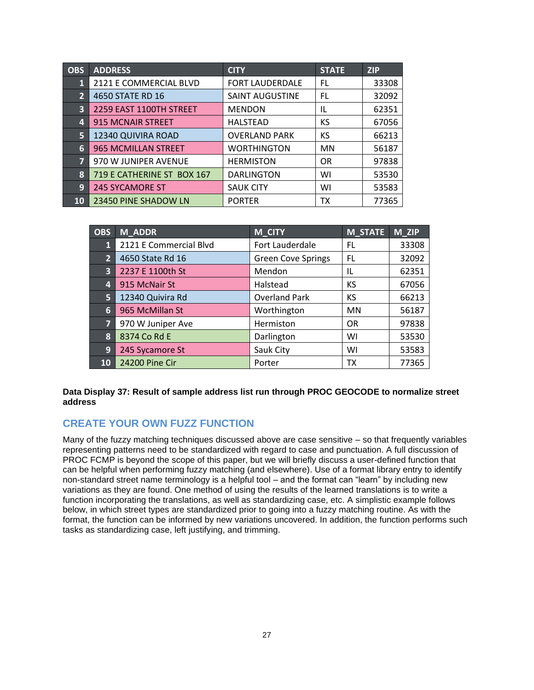| <b>OBS</b>     | <b>ADDRESS</b>             | <b>CITY</b>            | <b>STATE</b> | <b>ZIP</b> |
|----------------|----------------------------|------------------------|--------------|------------|
| 1              | 2121 E COMMERCIAL BLVD     | <b>FORT LAUDERDALE</b> | FL           | 33308      |
| $\overline{2}$ | 4650 STATE RD 16           | <b>SAINT AUGUSTINE</b> | FL           | 32092      |
| 3              | 2259 EAST 1100TH STREET    | <b>MENDON</b>          | IL           | 62351      |
| 4              | <b>915 MCNAIR STREET</b>   | <b>HALSTEAD</b>        | KS           | 67056      |
| 5              | 12340 QUIVIRA ROAD         | <b>OVERLAND PARK</b>   | КS           | 66213      |
| 6              | 965 MCMILLAN STREET        | <b>WORTHINGTON</b>     | <b>MN</b>    | 56187      |
| $\overline{7}$ | 970 W JUNIPER AVENUE       | <b>HERMISTON</b>       | <b>OR</b>    | 97838      |
| 8              | 719 E CATHERINE ST BOX 167 | <b>DARLINGTON</b>      | WI           | 53530      |
| 9              | <b>245 SYCAMORE ST</b>     | <b>SAUK CITY</b>       | WI           | 53583      |
| <b>10</b>      | 23450 PINE SHADOW LN       | <b>PORTER</b>          | <b>TX</b>    | 77365      |

| OBS            | <b>M_ADDR</b>          | M_CITY                    | <b>M_STATE</b> | M_ZIP |
|----------------|------------------------|---------------------------|----------------|-------|
| $\mathbf{1}$   | 2121 E Commercial Blvd | Fort Lauderdale           | FL             | 33308 |
| $\overline{2}$ | 4650 State Rd 16       | <b>Green Cove Springs</b> | FL             | 32092 |
| 3              | 2237 E 1100th St       | Mendon                    | IL             | 62351 |
| 4              | 915 McNair St          | Halstead                  | KS             | 67056 |
| 5              | 12340 Quivira Rd       | <b>Overland Park</b>      | KS             | 66213 |
| 6              | 965 McMillan St        | Worthington               | MN             | 56187 |
| $\overline{7}$ | 970 W Juniper Ave      | Hermiston                 | <b>OR</b>      | 97838 |
| 8              | 8374 Co Rd E           | Darlington                | WI             | 53530 |
| 9              | 245 Sycamore St        | Sauk City                 | WI             | 53583 |
| 10             | 24200 Pine Cir         | Porter                    | ТX             | 77365 |

<span id="page-26-0"></span>**Data Display 37: Result of sample address list run through PROC GEOCODE to normalize street address**

# **CREATE YOUR OWN FUZZ FUNCTION**

Many of the fuzzy matching techniques discussed above are case sensitive – so that frequently variables representing patterns need to be standardized with regard to case and punctuation. A full discussion of PROC FCMP is beyond the scope of this paper, but we will briefly discuss a user-defined function that can be helpful when performing fuzzy matching (and elsewhere). Use of a format library entry to identify non-standard street name terminology is a helpful tool – and the format can "learn" by including new variations as they are found. One method of using the results of the learned translations is to write a function incorporating the translations, as well as standardizing case, etc. A simplistic example follows below, in which street types are standardized prior to going into a fuzzy matching routine. As with the format, the function can be informed by new variations uncovered. In addition, the function performs such tasks as standardizing case, left justifying, and trimming.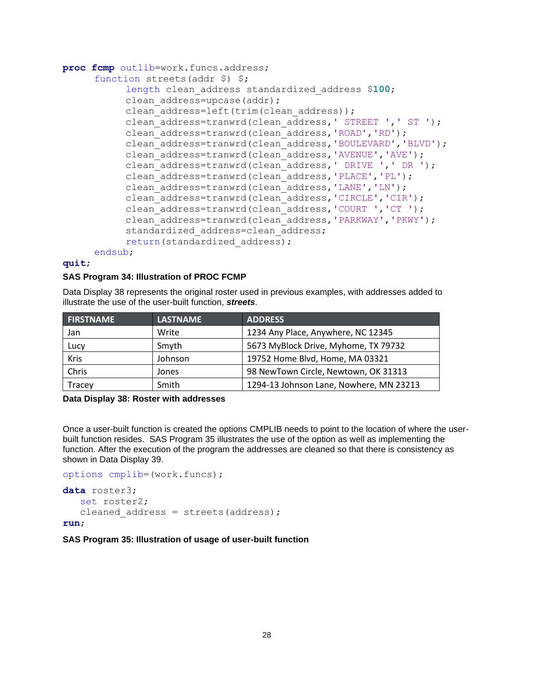```
proc fcmp outlib=work.funcs.address; 
     function streets(addr $) $;
           length clean_address standardized_address $100; 
           clean_address=upcase(addr);
           clean address=left(trim(clean address));
           clean address=tranwrd(clean address, ' STREET ', ' ST ');
           clean_address=tranwrd(clean_address,'ROAD','RD');
           clean_address=tranwrd(clean_address,'BOULEVARD','BLVD');
           clean_address=tranwrd(clean_address,'AVENUE','AVE');
           clean address=tranwrd(clean address, ' DRIVE ', ' DR ');
           clean_address=tranwrd(clean_address,'PLACE','PL');
           clean_address=tranwrd(clean_address,'LANE','LN');
           clean_address=tranwrd(clean_address,'CIRCLE','CIR');
           clean_address=tranwrd(clean_address,'COURT ','CT ');
           clean_address=tranwrd(clean_address,'PARKWAY','PKWY');
           standardized address=clean_address;
           return(standardized address);
     endsub;
```
# **quit**;

#### **SAS Program 34: Illustration of PROC FCMP**

[Data Display 38](#page-27-0) represents the original roster used in previous examples, with addresses added to illustrate the use of the user-built function, *streets*.

| <b>FIRSTNAME</b> | <b>LASTNAME</b> | <b>ADDRESS</b>                          |
|------------------|-----------------|-----------------------------------------|
| Jan              | Write           | 1234 Any Place, Anywhere, NC 12345      |
| Lucy             | Smyth           | 5673 MyBlock Drive, Myhome, TX 79732    |
| <b>Kris</b>      | Johnson         | 19752 Home Blvd, Home, MA 03321         |
| Chris            | Jones           | 98 NewTown Circle, Newtown, OK 31313    |
| Tracey           | Smith           | 1294-13 Johnson Lane, Nowhere, MN 23213 |

#### <span id="page-27-0"></span>**Data Display 38: Roster with addresses**

Once a user-built function is created the options CMPLIB needs to point to the location of where the userbuilt function resides. [SAS Program 35](#page-27-1) illustrates the use of the option as well as implementing the function. After the execution of the program the addresses are cleaned so that there is consistency as shown in [Data Display 39.](#page-28-0)

```
options cmplib=(work.funcs);
data roster3;
    set roster2;
   cleaned address = streets(address);
run;
```
#### <span id="page-27-1"></span>**SAS Program 35: Illustration of usage of user-built function**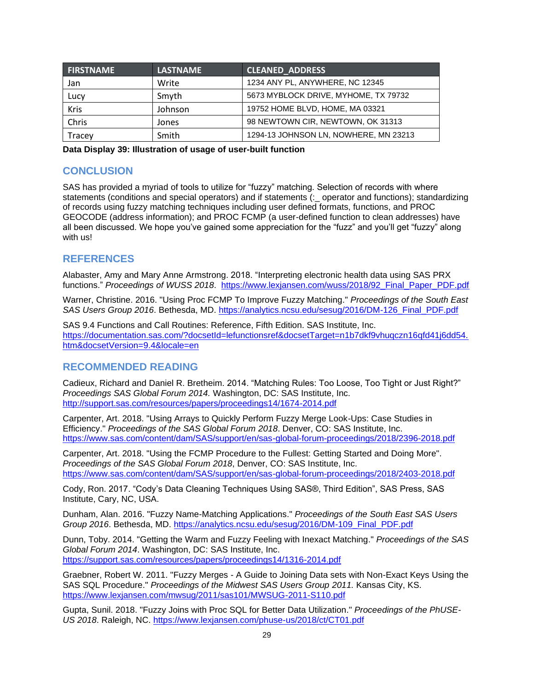| <b>FIRSTNAME</b> | <b>LASTNAME</b> | <b>CLEANED ADDRESS</b>                |
|------------------|-----------------|---------------------------------------|
| Jan              | Write           | 1234 ANY PL, ANYWHERE, NC 12345       |
| Lucy             | Smyth           | 5673 MYBLOCK DRIVE, MYHOME, TX 79732  |
| <b>Kris</b>      | Johnson         | 19752 HOME BLVD, HOME, MA 03321       |
| Chris            | Jones           | 98 NEWTOWN CIR, NEWTOWN, OK 31313     |
| Tracey           | Smith           | 1294-13 JOHNSON LN, NOWHERE, MN 23213 |

<span id="page-28-0"></span>**Data Display 39: Illustration of usage of user-built function**

# **CONCLUSION**

SAS has provided a myriad of tools to utilize for "fuzzy" matching. Selection of records with where statements (conditions and special operators) and if statements (:\_ operator and functions); standardizing of records using fuzzy matching techniques including user defined formats, functions, and PROC GEOCODE (address information); and PROC FCMP (a user-defined function to clean addresses) have all been discussed. We hope you've gained some appreciation for the "fuzz" and you'll get "fuzzy" along with us!

# **REFERENCES**

Alabaster, Amy and Mary Anne Armstrong. 2018. "Interpreting electronic health data using SAS PRX functions." *Proceedings of WUSS 2018*. [https://www.lexjansen.com/wuss/2018/92\\_Final\\_Paper\\_PDF.pdf](https://www.lexjansen.com/wuss/2018/92_Final_Paper_PDF.pdf)

Warner, Christine. 2016. "Using Proc FCMP To Improve Fuzzy Matching." *Proceedings of the South East SAS Users Group 2016*. Bethesda, MD. [https://analytics.ncsu.edu/sesug/2016/DM-126\\_Final\\_PDF.pdf](https://analytics.ncsu.edu/sesug/2016/DM-126_Final_PDF.pdf)

SAS 9.4 Functions and Call Routines: Reference, Fifth Edition. SAS Institute, Inc. [https://documentation.sas.com/?docsetId=lefunctionsref&docsetTarget=n1b7dkf9vhuqczn16qfd41j6dd54.](https://documentation.sas.com/?docsetId=lefunctionsref&docsetTarget=n1b7dkf9vhuqczn16qfd41j6dd54.htm&docsetVersion=9.4&locale=en) [htm&docsetVersion=9.4&locale=en](https://documentation.sas.com/?docsetId=lefunctionsref&docsetTarget=n1b7dkf9vhuqczn16qfd41j6dd54.htm&docsetVersion=9.4&locale=en)

# **RECOMMENDED READING**

Cadieux, Richard and Daniel R. Bretheim. 2014. "Matching Rules: Too Loose, Too Tight or Just Right?" *Proceedings SAS Global Forum 2014.* Washington, DC: SAS Institute, Inc. <http://support.sas.com/resources/papers/proceedings14/1674-2014.pdf>

Carpenter, Art. 2018. "Using Arrays to Quickly Perform Fuzzy Merge Look-Ups: Case Studies in Efficiency." *Proceedings of the SAS Global Forum 2018*. Denver, CO: SAS Institute, Inc. <https://www.sas.com/content/dam/SAS/support/en/sas-global-forum-proceedings/2018/2396-2018.pdf>

Carpenter, Art. 2018. "Using the FCMP Procedure to the Fullest: Getting Started and Doing More". *Proceedings of the SAS Global Forum 2018*, Denver, CO: SAS Institute, Inc. <https://www.sas.com/content/dam/SAS/support/en/sas-global-forum-proceedings/2018/2403-2018.pdf>

Cody, Ron. 2017. "Cody's Data Cleaning Techniques Using SAS®, Third Edition", SAS Press, SAS Institute, Cary, NC, USA.

Dunham, Alan. 2016. "Fuzzy Name-Matching Applications." *Proceedings of the South East SAS Users Group 2016*. Bethesda, MD. [https://analytics.ncsu.edu/sesug/2016/DM-109\\_Final\\_PDF.pdf](https://analytics.ncsu.edu/sesug/2016/DM-109_Final_PDF.pdf)

Dunn, Toby. 2014. "Getting the Warm and Fuzzy Feeling with Inexact Matching." *Proceedings of the SAS Global Forum 2014*. Washington, DC: SAS Institute, Inc. <https://support.sas.com/resources/papers/proceedings14/1316-2014.pdf>

Graebner, Robert W. 2011. "Fuzzy Merges - A Guide to Joining Data sets with Non-Exact Keys Using the SAS SQL Procedure." *Proceedings of the Midwest SAS Users Group 2011.* Kansas City, KS. <https://www.lexjansen.com/mwsug/2011/sas101/MWSUG-2011-S110.pdf>

Gupta, Sunil. 2018. "Fuzzy Joins with Proc SQL for Better Data Utilization." *Proceedings of the PhUSE-US 2018*. Raleigh, NC.<https://www.lexjansen.com/phuse-us/2018/ct/CT01.pdf>